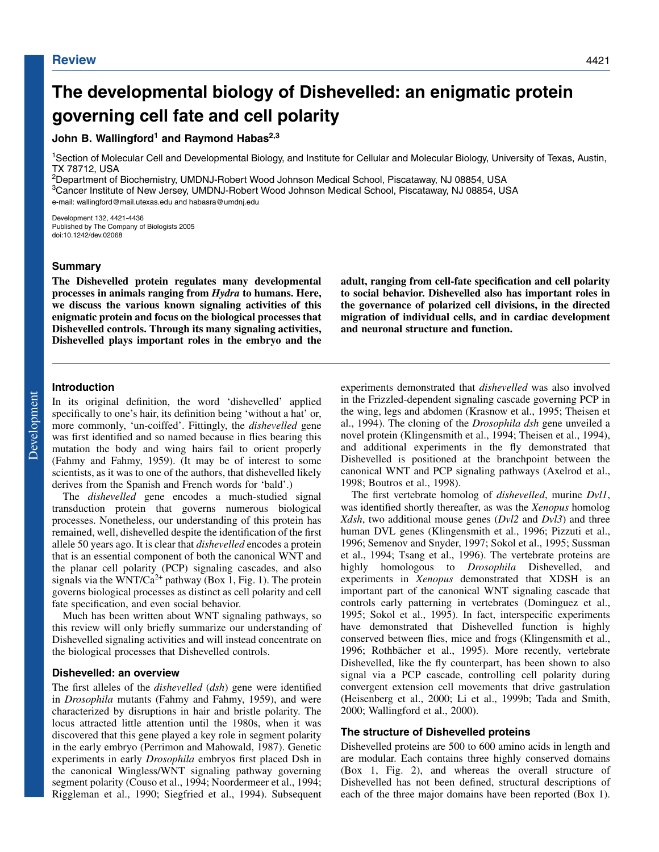# **The developmental biology of Dishevelled: an enigmatic protein governing cell fate and cell polarity**

## John B. Wallingford<sup>1</sup> and Raymond Habas<sup>2,3</sup>

1Section of Molecular Cell and Developmental Biology, and Institute for Cellular and Molecular Biology, University of Texas, Austin, TX 78712, USA

2Department of Biochemistry, UMDNJ-Robert Wood Johnson Medical School, Piscataway, NJ 08854, USA 3Cancer Institute of New Jersey, UMDNJ-Robert Wood Johnson Medical School, Piscataway, NJ 08854, USA e-mail: wallingford@mail.utexas.edu and habasra@umdnj.edu

Development 132, 4421-4436 Published by The Company of Biologists 2005 doi:10.1242/dev.02068

## **Summary**

**The Dishevelled protein regulates many developmental processes in animals ranging from** *Hydra* **to humans. Here, we discuss the various known signaling activities of this enigmatic protein and focus on the biological processes that Dishevelled controls. Through its many signaling activities, Dishevelled plays important roles in the embryo and the** **adult, ranging from cell-fate specification and cell polarity to social behavior. Dishevelled also has important roles in the governance of polarized cell divisions, in the directed migration of individual cells, and in cardiac development and neuronal structure and function.**

## **Introduction**

In its original definition, the word 'dishevelled' applied specifically to one's hair, its definition being 'without a hat' or, more commonly, 'un-coiffed'. Fittingly, the *dishevelled* gene was first identified and so named because in flies bearing this mutation the body and wing hairs fail to orient properly (Fahmy and Fahmy, 1959). (It may be of interest to some scientists, as it was to one of the authors, that dishevelled likely derives from the Spanish and French words for 'bald'.)

The *dishevelled* gene encodes a much-studied signal transduction protein that governs numerous biological processes. Nonetheless, our understanding of this protein has remained, well, dishevelled despite the identification of the first allele 50 years ago. It is clear that *dishevelled* encodes a protein that is an essential component of both the canonical WNT and the planar cell polarity (PCP) signaling cascades, and also signals via the WNT/Ca<sup>2+</sup> pathway (Box 1, Fig. 1). The protein governs biological processes as distinct as cell polarity and cell fate specification, and even social behavior.

Much has been written about WNT signaling pathways, so this review will only briefly summarize our understanding of Dishevelled signaling activities and will instead concentrate on the biological processes that Dishevelled controls.

#### **Dishevelled: an overview**

The first alleles of the *dishevelled* (*dsh*) gene were identified in *Drosophila* mutants (Fahmy and Fahmy, 1959), and were characterized by disruptions in hair and bristle polarity. The locus attracted little attention until the 1980s, when it was discovered that this gene played a key role in segment polarity in the early embryo (Perrimon and Mahowald, 1987). Genetic experiments in early *Drosophila* embryos first placed Dsh in the canonical Wingless/WNT signaling pathway governing segment polarity (Couso et al., 1994; Noordermeer et al., 1994; Riggleman et al., 1990; Siegfried et al., 1994). Subsequent experiments demonstrated that *dishevelled* was also involved in the Frizzled-dependent signaling cascade governing PCP in the wing, legs and abdomen (Krasnow et al., 1995; Theisen et al., 1994). The cloning of the *Drosophila dsh* gene unveiled a novel protein (Klingensmith et al., 1994; Theisen et al., 1994), and additional experiments in the fly demonstrated that Dishevelled is positioned at the branchpoint between the canonical WNT and PCP signaling pathways (Axelrod et al., 1998; Boutros et al., 1998).

The first vertebrate homolog of *dishevelled*, murine *Dvl1*, was identified shortly thereafter, as was the *Xenopus* homolog *Xdsh*, two additional mouse genes (*Dvl2* and *Dvl3*) and three human DVL genes (Klingensmith et al., 1996; Pizzuti et al., 1996; Semenov and Snyder, 1997; Sokol et al., 1995; Sussman et al., 1994; Tsang et al., 1996). The vertebrate proteins are highly homologous to *Drosophila* Dishevelled, and experiments in *Xenopus* demonstrated that XDSH is an important part of the canonical WNT signaling cascade that controls early patterning in vertebrates (Dominguez et al., 1995; Sokol et al., 1995). In fact, interspecific experiments have demonstrated that Dishevelled function is highly conserved between flies, mice and frogs (Klingensmith et al., 1996; Rothbächer et al., 1995). More recently, vertebrate Dishevelled, like the fly counterpart, has been shown to also signal via a PCP cascade, controlling cell polarity during convergent extension cell movements that drive gastrulation (Heisenberg et al., 2000; Li et al., 1999b; Tada and Smith, 2000; Wallingford et al., 2000).

#### **The structure of Dishevelled proteins**

Dishevelled proteins are 500 to 600 amino acids in length and are modular. Each contains three highly conserved domains (Box 1, Fig. 2), and whereas the overall structure of Dishevelled has not been defined, structural descriptions of each of the three major domains have been reported (Box 1).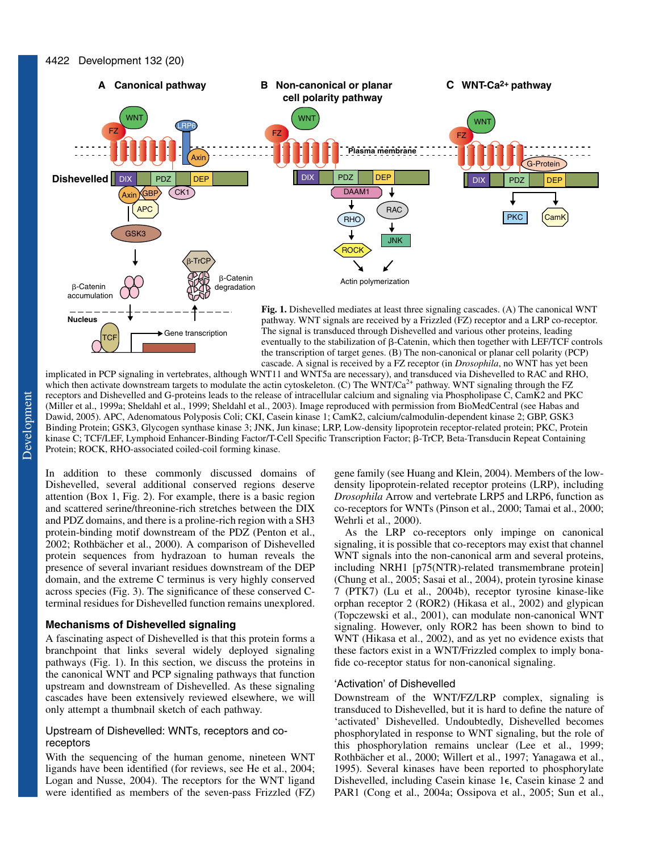

implicated in PCP signaling in vertebrates, although WNT11 and WNT5a are necessary), and transduced via Dishevelled to RAC and RHO, which then activate downstream targets to modulate the actin cytoskeleton. (C) The WNT/Ca<sup>2+</sup> pathway. WNT signaling through the FZ receptors and Dishevelled and G-proteins leads to the release of intracellular calcium and signaling via Phospholipase C, CamK2 and PKC (Miller et al., 1999a; Sheldahl et al., 1999; Sheldahl et al., 2003). Image reproduced with permission from BioMedCentral (see Habas and Dawid, 2005). APC, Adenomatous Polyposis Coli; CKI, Casein kinase 1; CamK2, calcium/calmodulin-dependent kinase 2; GBP, GSK3 Binding Protein; GSK3, Glycogen synthase kinase 3; JNK, Jun kinase; LRP, Low-density lipoprotein receptor-related protein; PKC, Protein kinase C; TCF/LEF, Lymphoid Enhancer-Binding Factor/T-Cell Specific Transcription Factor; β-TrCP, Beta-Transducin Repeat Containing Protein; ROCK, RHO-associated coiled-coil forming kinase.

In addition to these commonly discussed domains of Dishevelled, several additional conserved regions deserve attention (Box 1, Fig. 2). For example, there is a basic region and scattered serine/threonine-rich stretches between the DIX and PDZ domains, and there is a proline-rich region with a SH3 protein-binding motif downstream of the PDZ (Penton et al., 2002; Rothbächer et al., 2000). A comparison of Dishevelled protein sequences from hydrazoan to human reveals the presence of several invariant residues downstream of the DEP domain, and the extreme C terminus is very highly conserved across species (Fig. 3). The significance of these conserved Cterminal residues for Dishevelled function remains unexplored.

## **Mechanisms of Dishevelled signaling**

A fascinating aspect of Dishevelled is that this protein forms a branchpoint that links several widely deployed signaling pathways (Fig. 1). In this section, we discuss the proteins in the canonical WNT and PCP signaling pathways that function upstream and downstream of Dishevelled. As these signaling cascades have been extensively reviewed elsewhere, we will only attempt a thumbnail sketch of each pathway.

## Upstream of Dishevelled: WNTs, receptors and coreceptors

With the sequencing of the human genome, nineteen WNT ligands have been identified (for reviews, see He et al., 2004; Logan and Nusse, 2004). The receptors for the WNT ligand were identified as members of the seven-pass Frizzled (FZ) gene family (see Huang and Klein, 2004). Members of the lowdensity lipoprotein-related receptor proteins (LRP), including *Drosophila* Arrow and vertebrate LRP5 and LRP6, function as co-receptors for WNTs (Pinson et al., 2000; Tamai et al., 2000; Wehrli et al., 2000).

As the LRP co-receptors only impinge on canonical signaling, it is possible that co-receptors may exist that channel WNT signals into the non-canonical arm and several proteins, including NRH1 [p75(NTR)-related transmembrane protein] (Chung et al., 2005; Sasai et al., 2004), protein tyrosine kinase 7 (PTK7) (Lu et al., 2004b), receptor tyrosine kinase-like orphan receptor 2 (ROR2) (Hikasa et al., 2002) and glypican (Topczewski et al., 2001), can modulate non-canonical WNT signaling. However, only ROR2 has been shown to bind to WNT (Hikasa et al., 2002), and as yet no evidence exists that these factors exist in a WNT/Frizzled complex to imply bonafide co-receptor status for non-canonical signaling.

#### 'Activation' of Dishevelled

Downstream of the WNT/FZ/LRP complex, signaling is transduced to Dishevelled, but it is hard to define the nature of 'activated' Dishevelled. Undoubtedly, Dishevelled becomes phosphorylated in response to WNT signaling, but the role of this phosphorylation remains unclear (Lee et al., 1999; Rothbächer et al., 2000; Willert et al., 1997; Yanagawa et al., 1995). Several kinases have been reported to phosphorylate Dishevelled, including Casein kinase 1 $\epsilon$ , Casein kinase 2 and PAR1 (Cong et al., 2004a; Ossipova et al., 2005; Sun et al.,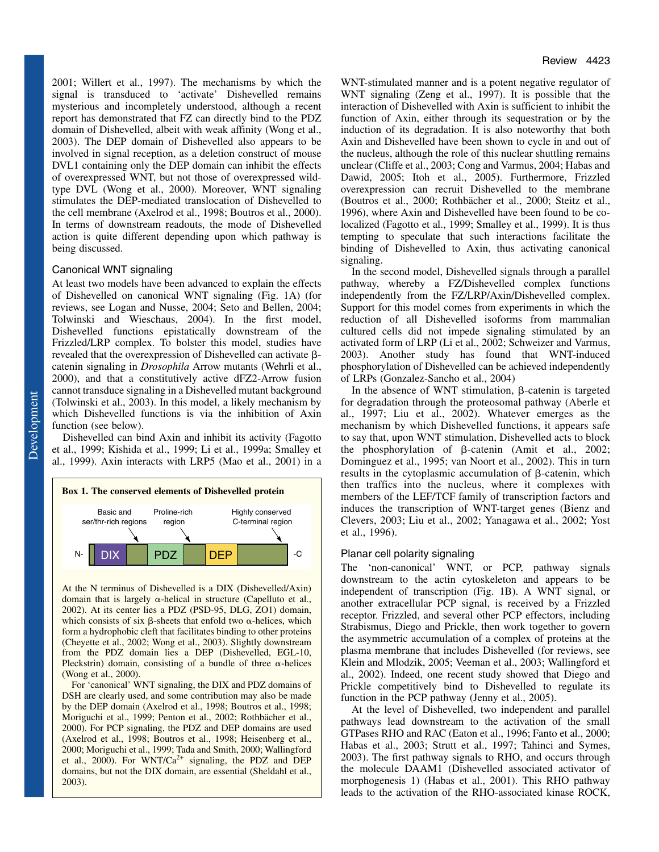2001; Willert et al., 1997). The mechanisms by which the signal is transduced to 'activate' Dishevelled remains mysterious and incompletely understood, although a recent report has demonstrated that FZ can directly bind to the PDZ domain of Dishevelled, albeit with weak affinity (Wong et al., 2003). The DEP domain of Dishevelled also appears to be involved in signal reception, as a deletion construct of mouse DVL1 containing only the DEP domain can inhibit the effects of overexpressed WNT, but not those of overexpressed wildtype DVL (Wong et al., 2000). Moreover, WNT signaling stimulates the DEP-mediated translocation of Dishevelled to the cell membrane (Axelrod et al., 1998; Boutros et al., 2000). In terms of downstream readouts, the mode of Dishevelled action is quite different depending upon which pathway is being discussed.

## Canonical WNT signaling

At least two models have been advanced to explain the effects of Dishevelled on canonical WNT signaling (Fig. 1A) (for reviews, see Logan and Nusse, 2004; Seto and Bellen, 2004; Tolwinski and Wieschaus, 2004). In the first model, Dishevelled functions epistatically downstream of the Frizzled/LRP complex. To bolster this model, studies have revealed that the overexpression of Dishevelled can activate  $\beta$ catenin signaling in *Drosophila* Arrow mutants (Wehrli et al., 2000), and that a constitutively active dFZ2-Arrow fusion cannot transduce signaling in a Dishevelled mutant background (Tolwinski et al., 2003). In this model, a likely mechanism by which Dishevelled functions is via the inhibition of Axin function (see below).

Dishevelled can bind Axin and inhibit its activity (Fagotto et al., 1999; Kishida et al., 1999; Li et al., 1999a; Smalley et al., 1999). Axin interacts with LRP5 (Mao et al., 2001) in a



At the N terminus of Dishevelled is a DIX (Dishevelled/Axin) domain that is largely  $\alpha$ -helical in structure (Capelluto et al., 2002). At its center lies a PDZ (PSD-95, DLG, ZO1) domain, which consists of six  $\beta$ -sheets that enfold two  $\alpha$ -helices, which form a hydrophobic cleft that facilitates binding to other proteins (Cheyette et al., 2002; Wong et al., 2003). Slightly downstream from the PDZ domain lies a DEP (Dishevelled, EGL-10, Pleckstrin) domain, consisting of a bundle of three  $\alpha$ -helices (Wong et al., 2000).

For 'canonical' WNT signaling, the DIX and PDZ domains of DSH are clearly used, and some contribution may also be made by the DEP domain (Axelrod et al., 1998; Boutros et al., 1998; Moriguchi et al., 1999; Penton et al., 2002; Rothbächer et al., 2000). For PCP signaling, the PDZ and DEP domains are used (Axelrod et al., 1998; Boutros et al., 1998; Heisenberg et al., 2000; Moriguchi et al., 1999; Tada and Smith, 2000; Wallingford et al., 2000). For WNT/Ca<sup>2+</sup> signaling, the PDZ and DEP domains, but not the DIX domain, are essential (Sheldahl et al., 2003).

WNT-stimulated manner and is a potent negative regulator of WNT signaling (Zeng et al., 1997). It is possible that the interaction of Dishevelled with Axin is sufficient to inhibit the function of Axin, either through its sequestration or by the induction of its degradation. It is also noteworthy that both Axin and Dishevelled have been shown to cycle in and out of the nucleus, although the role of this nuclear shuttling remains unclear (Cliffe et al., 2003; Cong and Varmus, 2004; Habas and Dawid, 2005; Itoh et al., 2005). Furthermore, Frizzled overexpression can recruit Dishevelled to the membrane (Boutros et al., 2000; Rothbächer et al., 2000; Steitz et al., 1996), where Axin and Dishevelled have been found to be colocalized (Fagotto et al., 1999; Smalley et al., 1999). It is thus tempting to speculate that such interactions facilitate the binding of Dishevelled to Axin, thus activating canonical signaling.

In the second model, Dishevelled signals through a parallel pathway, whereby a FZ/Dishevelled complex functions independently from the FZ/LRP/Axin/Dishevelled complex. Support for this model comes from experiments in which the reduction of all Dishevelled isoforms from mammalian cultured cells did not impede signaling stimulated by an activated form of LRP (Li et al., 2002; Schweizer and Varmus, 2003). Another study has found that WNT-induced phosphorylation of Dishevelled can be achieved independently of LRPs (Gonzalez-Sancho et al., 2004)

In the absence of WNT stimulation,  $\beta$ -catenin is targeted for degradation through the proteosomal pathway (Aberle et al., 1997; Liu et al., 2002). Whatever emerges as the mechanism by which Dishevelled functions, it appears safe to say that, upon WNT stimulation, Dishevelled acts to block the phosphorylation of  $\beta$ -catenin (Amit et al., 2002; Dominguez et al., 1995; van Noort et al., 2002). This in turn results in the cytoplasmic accumulation of  $\beta$ -catenin, which then traffics into the nucleus, where it complexes with members of the LEF/TCF family of transcription factors and induces the transcription of WNT-target genes (Bienz and Clevers, 2003; Liu et al., 2002; Yanagawa et al., 2002; Yost et al., 1996).

## Planar cell polarity signaling

The 'non-canonical' WNT, or PCP, pathway signals downstream to the actin cytoskeleton and appears to be independent of transcription (Fig. 1B). A WNT signal, or another extracellular PCP signal, is received by a Frizzled receptor. Frizzled, and several other PCP effectors, including Strabismus, Diego and Prickle, then work together to govern the asymmetric accumulation of a complex of proteins at the plasma membrane that includes Dishevelled (for reviews, see Klein and Mlodzik, 2005; Veeman et al., 2003; Wallingford et al., 2002). Indeed, one recent study showed that Diego and Prickle competitively bind to Dishevelled to regulate its function in the PCP pathway (Jenny et al., 2005).

At the level of Dishevelled, two independent and parallel pathways lead downstream to the activation of the small GTPases RHO and RAC (Eaton et al., 1996; Fanto et al., 2000; Habas et al., 2003; Strutt et al., 1997; Tahinci and Symes, 2003). The first pathway signals to RHO, and occurs through the molecule DAAM1 (Dishevelled associated activator of morphogenesis 1) (Habas et al., 2001). This RHO pathway leads to the activation of the RHO-associated kinase ROCK,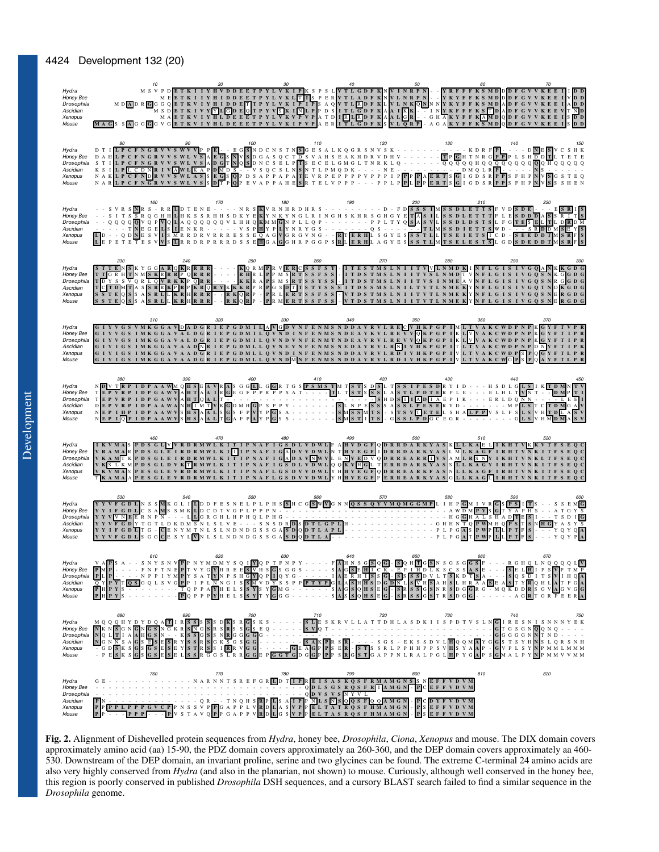| Hydra<br>Honey Bee<br>Drosophila<br>Ascidian<br>Xenopus<br>Mouse | M DEET KIIY HIDDEET PYLVKIETIS PERVILADE KNVLNKPNI – I KYEF KS MDDDF GVVKEE I VDD<br>M SDET KIIY HIDDEET PYLVKIE I PS A QVT LEDF KLVLNKQNN NYKYFF KS MDDDF GVVKEE I ADD<br>M SDET KIIY HIDDET TPYLVKIE I PS A QVT LEDF KLVLNKQNN NYK                                                                                                                                                                                                                                                                                                                                                                                                                                                                                                                                                                                                                        | M S V P D E T K I I Y H V D D E E T P Y L V K I P K S P S L V T L G D F K N V I N R P N - - Y R F F F K S M D D P F G V V K E E I I I D D |     |                            |     |     |     |
|------------------------------------------------------------------|-------------------------------------------------------------------------------------------------------------------------------------------------------------------------------------------------------------------------------------------------------------------------------------------------------------------------------------------------------------------------------------------------------------------------------------------------------------------------------------------------------------------------------------------------------------------------------------------------------------------------------------------------------------------------------------------------------------------------------------------------------------------------------------------------------------------------------------------------------------|-------------------------------------------------------------------------------------------------------------------------------------------|-----|----------------------------|-----|-----|-----|
| Hydra<br>Honey Bee<br>Drosophila<br>Ascidian<br>Xenopus<br>Mouse |                                                                                                                                                                                                                                                                                                                                                                                                                                                                                                                                                                                                                                                                                                                                                                                                                                                             | 100                                                                                                                                       | 110 | 120                        | 130 |     |     |
| Hydra<br>Honey Bee<br>Drosophila<br>Ascidian<br>Xenopus<br>Mouse | 160                                                                                                                                                                                                                                                                                                                                                                                                                                                                                                                                                                                                                                                                                                                                                                                                                                                         | 170                                                                                                                                       | 180 |                            | 200 | 210 |     |
| Hydra<br>Honey Bee<br>Drosophila<br>Ascidian<br>Xenopus<br>Mouse |                                                                                                                                                                                                                                                                                                                                                                                                                                                                                                                                                                                                                                                                                                                                                                                                                                                             |                                                                                                                                           |     |                            |     |     |     |
| Hydra<br>Honey Bee<br>Drosophila<br>Ascidian<br>Xenopus<br>Mouse | 310<br>G I Y V G S V M K G G A V <mark>D</mark> A D G R I E P G D M I L A V <mark>C D V N F E N M S N D D A V R V L R E C V H K P G P I M L T V A K C WD P N P K G Y F T V P R</mark><br>G I Y V G S I M K G G A V A L D G R I E P G D M I L Q V N D I N F E N<br>G I Y V G S I MK G G A V A L D G R I E P G D M I L Q V N D V N F E N M T N D E A V R V L R E V V Q K P G P I K L V V A K C WD P N P K G Y F T I P R<br>G I Y I G S I MK G G A V A A D <mark>N</mark> R I E P G D ML L Q V N E V N F E N M S N E D A V R V L R <mark>N</mark> I V <mark>H</mark> K P G P I T L T V A K C W D P <u>N</u> P D NY F T I P K<br>G I Y I G S I MK G G A V A A D G R I E P G D ML L Q V N D I N F E N MS N D D A V R V L R D I V H K P G P I V L T V A K C WD P S P Q G Y F T L P R G I V I C S I MK G G A V A A D G R I E P G D ML L Q V N D M N F E N MS N D D |                                                                                                                                           | 330 | 340                        |     |     |     |
| Hydra<br>Honey Bee<br>Drosophila<br>Ascidian<br>Xenopus<br>Mouse | N <mark>D V T R P I D P A A WM Q H S E A V R A</mark> S G G L L G G R T G S <mark>P S M S T</mark> M T <mark>S T S D S</mark> L T S S I P E S D R Y I D - - - H S D L G <mark>L S</mark> I K <u>I D M</u><br>$T$ E P V R P I D P G A W V A H $T$ Q A L $T$ $\overline{\cdot}$                                                                                                                                                                                                                                                                                                                                                                                                                                                                                                                                                                               |                                                                                                                                           | 410 |                            |     |     |     |
| Hydra<br>Honey Bee<br>Drosophila<br>Ascidian<br>Xenopus<br>Mouse | I K V M A S P D S G L V V R D R M W L K I T I P N A F I G S D L V D W L F A H V D G F Q D R R D A R K Y A S K L L K A E L I K H T V K K V T F S E Q C<br>TKAMAS FDS GLEIRDRMWLKITIP NAFIGAD V VDWLKT H VEGF IDRRDARKYAS L MLKAGF IRHTVNKITFS EQC<br>V K <u>SLK</u> MPDS GLEIRDRMWLKITIP NAFIGAD A VNW VL E NIVED V ODRREARRINGS KLKAGF IRHTVNKITFS EQC<br>V K <u>SLK</u> MPDS GLEIRDRMWLKITIP NAFIGS D V VD                                                                                                                                                                                                                                                                                                                                                                                                                                                 | 470                                                                                                                                       |     | 490                        | 500 |     |     |
| Hydra<br>Honey Bee<br>Drosophila<br>Ascidian<br>Xenopus<br>Mouse | YYVFGDLNSSMKGLILDDFESNELPLPHSSHCGSWVG0N9GSSQYVMQMGGMPLIHPGM <u>IVRGSFSITS</u> ITS - - SSEMG                                                                                                                                                                                                                                                                                                                                                                                                                                                                                                                                                                                                                                                                                                                                                                 | 540<br>550                                                                                                                                | 560 |                            | 580 |     |     |
| Hydra<br>Honey Bee<br>Drosophila<br>Ascidian<br>Xenopus<br>Mouse | $PL$ $P$                                                                                                                                                                                                                                                                                                                                                                                                                                                                                                                                                                                                                                                                                                                                                                                                                                                    |                                                                                                                                           | 630 |                            | 650 | 660 | 670 |
| Hydra<br>Honey Bee<br>Drosophila<br>Ascidian<br>Xenopus<br>Mouse | 680<br>MQQQHYDYDQATILRESISSISSE ERISSE ERISSE ERISSE ERISSE ERISSE ERISSE ERISSE ERISSE ERISSE ERISSE ERISSE ERISSE ERISSE ERISSE ERISSE ERISSE ERISSE ERISSE ERISSE ERISSE ERISSE ERISSE ERISSE ERISSE ERISSE ERISSE ERISSE ERISSE E                                                                                                                                                                                                                                                                                                                                                                                                                                                                                                                                                                                                                       | 690<br>700                                                                                                                                | 710 | 720                        | 730 | 740 |     |
| Hydra<br>Honey Bee<br>Drosophila<br>Ascidian<br>Xenopus<br>Mouse |                                                                                                                                                                                                                                                                                                                                                                                                                                                                                                                                                                                                                                                                                                                                                                                                                                                             | 770                                                                                                                                       | 780 | 790<br>Q D V S V S N Y V L | 800 | 810 | 820 |

**Fig. 2.** Alignment of Dishevelled protein sequences from *Hydra*, honey bee, *Drosophila*, *Ciona*, *Xenopus* and mouse. The DIX domain covers approximately amino acid (aa) 15-90, the PDZ domain covers approximately aa 260-360, and the DEP domain covers approximately aa 460- 530. Downstream of the DEP domain, an invariant proline, serine and two glycines can be found. The extreme C-terminal 24 amino acids are also very highly conserved from *Hydra* (and also in the planarian, not shown) to mouse. Curiously, although well conserved in the honey bee, this region is poorly conserved in published *Drosophila* DSH sequences, and a cursory BLAST search failed to find a similar sequence in the *Drosophila* genome.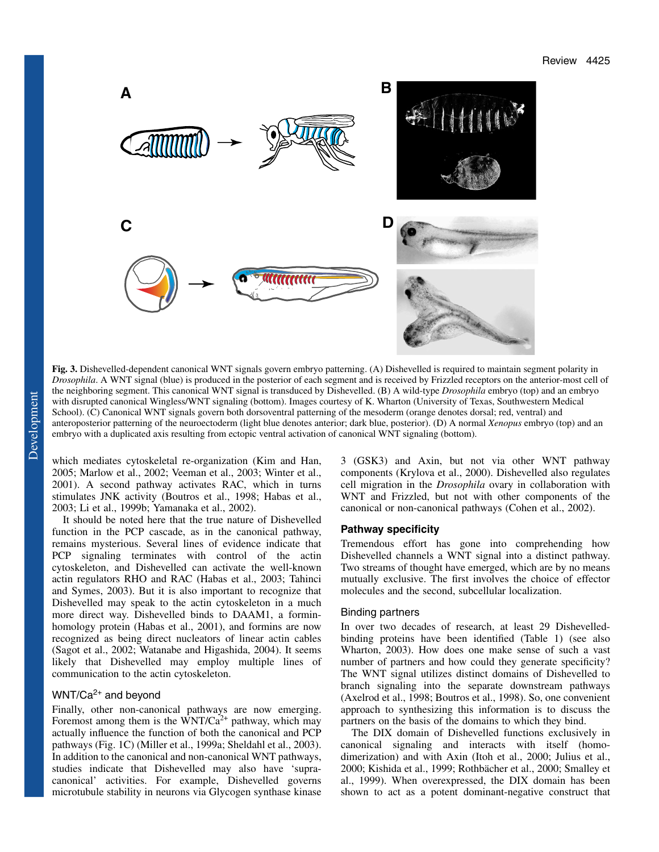

**Fig. 3.** Dishevelled-dependent canonical WNT signals govern embryo patterning. (A) Dishevelled is required to maintain segment polarity in *Drosophila*. A WNT signal (blue) is produced in the posterior of each segment and is received by Frizzled receptors on the anterior-most cell of the neighboring segment. This canonical WNT signal is transduced by Dishevelled. (B) A wild-type *Drosophila* embryo (top) and an embryo with disrupted canonical Wingless/WNT signaling (bottom). Images courtesy of K. Wharton (University of Texas, Southwestern Medical School). (C) Canonical WNT signals govern both dorsoventral patterning of the mesoderm (orange denotes dorsal; red, ventral) and anteroposterior patterning of the neuroectoderm (light blue denotes anterior; dark blue, posterior). (D) A normal *Xenopus* embryo (top) and an embryo with a duplicated axis resulting from ectopic ventral activation of canonical WNT signaling (bottom).

which mediates cytoskeletal re-organization (Kim and Han, 2005; Marlow et al., 2002; Veeman et al., 2003; Winter et al., 2001). A second pathway activates RAC, which in turns stimulates JNK activity (Boutros et al., 1998; Habas et al., 2003; Li et al., 1999b; Yamanaka et al., 2002).

It should be noted here that the true nature of Dishevelled function in the PCP cascade, as in the canonical pathway, remains mysterious. Several lines of evidence indicate that PCP signaling terminates with control of the actin cytoskeleton, and Dishevelled can activate the well-known actin regulators RHO and RAC (Habas et al., 2003; Tahinci and Symes, 2003). But it is also important to recognize that Dishevelled may speak to the actin cytoskeleton in a much more direct way. Dishevelled binds to DAAM1, a forminhomology protein (Habas et al., 2001), and formins are now recognized as being direct nucleators of linear actin cables (Sagot et al., 2002; Watanabe and Higashida, 2004). It seems likely that Dishevelled may employ multiple lines of communication to the actin cytoskeleton.

# $WNT/Ca^{2+}$  and beyond

Finally, other non-canonical pathways are now emerging. Foremost among them is the WNT/Ca<sup>2+</sup> pathway, which may actually influence the function of both the canonical and PCP pathways (Fig. 1C) (Miller et al., 1999a; Sheldahl et al., 2003). In addition to the canonical and non-canonical WNT pathways, studies indicate that Dishevelled may also have 'supracanonical' activities. For example, Dishevelled governs microtubule stability in neurons via Glycogen synthase kinase

3 (GSK3) and Axin, but not via other WNT pathway components (Krylova et al., 2000). Dishevelled also regulates cell migration in the *Drosophila* ovary in collaboration with WNT and Frizzled, but not with other components of the canonical or non-canonical pathways (Cohen et al., 2002).

#### **Pathway specificity**

Tremendous effort has gone into comprehending how Dishevelled channels a WNT signal into a distinct pathway. Two streams of thought have emerged, which are by no means mutually exclusive. The first involves the choice of effector molecules and the second, subcellular localization.

#### Binding partners

In over two decades of research, at least 29 Dishevelledbinding proteins have been identified (Table 1) (see also Wharton, 2003). How does one make sense of such a vast number of partners and how could they generate specificity? The WNT signal utilizes distinct domains of Dishevelled to branch signaling into the separate downstream pathways (Axelrod et al., 1998; Boutros et al., 1998). So, one convenient approach to synthesizing this information is to discuss the partners on the basis of the domains to which they bind.

The DIX domain of Dishevelled functions exclusively in canonical signaling and interacts with itself (homodimerization) and with Axin (Itoh et al., 2000; Julius et al., 2000; Kishida et al., 1999; Rothbächer et al., 2000; Smalley et al., 1999). When overexpressed, the DIX domain has been shown to act as a potent dominant-negative construct that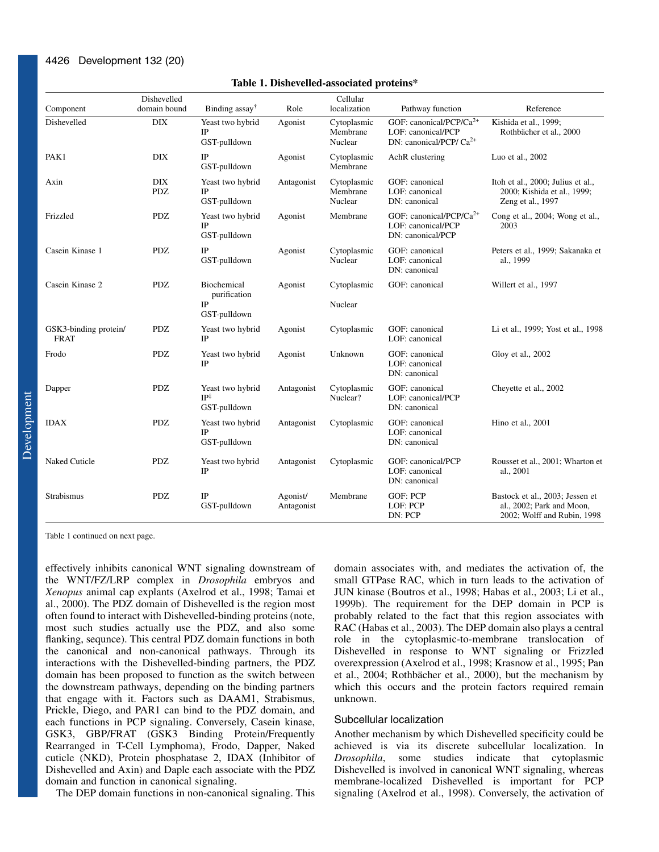| Component                            | Dishevelled<br>domain bound | Binding $assay^{\dagger}$                           | Role                   | Cellular<br>localization           | Pathway function                                                                          | Reference                                                                                   |
|--------------------------------------|-----------------------------|-----------------------------------------------------|------------------------|------------------------------------|-------------------------------------------------------------------------------------------|---------------------------------------------------------------------------------------------|
| Dishevelled                          | $\rm{DIX}$                  | Yeast two hybrid<br>IP<br>GST-pulldown              | Agonist                | Cytoplasmic<br>Membrane<br>Nuclear | GOF: canonical/PCP/Ca <sup>2+</sup><br>LOF: canonical/PCP<br>DN: canonical/PCP/ $Ca^{2+}$ | Kishida et al., 1999;<br>Rothbächer et al., 2000                                            |
| PAK1                                 | <b>DIX</b>                  | IP<br>GST-pulldown                                  | Agonist                | Cytoplasmic<br>Membrane            | AchR clustering                                                                           | Luo et al., 2002                                                                            |
| Axin                                 | <b>DIX</b><br><b>PDZ</b>    | Yeast two hybrid<br><b>IP</b><br>GST-pulldown       | Antagonist             | Cytoplasmic<br>Membrane<br>Nuclear | GOF: canonical<br>LOF: canonical<br>DN: canonical                                         | Itoh et al., 2000; Julius et al.,<br>2000; Kishida et al., 1999;<br>Zeng et al., 1997       |
| Frizzled                             | <b>PDZ</b>                  | Yeast two hybrid<br><b>IP</b><br>GST-pulldown       | Agonist                | Membrane                           | GOF: canonical/PCP/Ca <sup>2+</sup><br>LOF: canonical/PCP<br>DN: canonical/PCP            | Cong et al., 2004; Wong et al.,<br>2003                                                     |
| Casein Kinase 1                      | <b>PDZ</b>                  | IP<br>GST-pulldown                                  | Agonist                | Cytoplasmic<br>Nuclear             | GOF: canonical<br>LOF: canonical<br>DN: canonical                                         | Peters et al., 1999; Sakanaka et<br>al., 1999                                               |
| Casein Kinase 2                      | ${\rm PDZ}$                 | Biochemical<br>purification<br>IP<br>GST-pulldown   | Agonist                | Cytoplasmic<br>Nuclear             | GOF: canonical                                                                            | Willert et al., 1997                                                                        |
| GSK3-binding protein/<br><b>FRAT</b> | <b>PDZ</b>                  | Yeast two hybrid<br><b>IP</b>                       | Agonist                | Cytoplasmic                        | GOF: canonical<br>LOF: canonical                                                          | Li et al., 1999; Yost et al., 1998                                                          |
| Frodo                                | <b>PDZ</b>                  | Yeast two hybrid<br><b>IP</b>                       | Agonist                | Unknown                            | GOF: canonical<br>LOF: canonical<br>DN: canonical                                         | Gloy et al., 2002                                                                           |
| Dapper                               | <b>PDZ</b>                  | Yeast two hybrid<br>$IP^{\ddagger}$<br>GST-pulldown | Antagonist             | Cytoplasmic<br>Nuclear?            | GOF: canonical<br>LOF: canonical/PCP<br>DN: canonical                                     | Cheyette et al., 2002                                                                       |
| <b>IDAX</b>                          | <b>PDZ</b>                  | Yeast two hybrid<br><b>IP</b><br>GST-pulldown       | Antagonist             | Cytoplasmic                        | GOF: canonical<br>LOF: canonical<br>DN: canonical                                         | Hino et al., 2001                                                                           |
| Naked Cuticle                        | <b>PDZ</b>                  | Yeast two hybrid<br><b>IP</b>                       | Antagonist             | Cytoplasmic                        | GOF: canonical/PCP<br>LOF: canonical<br>DN: canonical                                     | Rousset et al., 2001; Wharton et<br>al., 2001                                               |
| Strabismus                           | <b>PDZ</b>                  | $\rm IP$<br>GST-pulldown                            | Agonist/<br>Antagonist | Membrane                           | <b>GOF: PCP</b><br>LOF: PCP<br>DN: PCP                                                    | Bastock et al., 2003; Jessen et<br>al., 2002; Park and Moon,<br>2002; Wolff and Rubin, 1998 |

#### **Table 1. Dishevelled-associated proteins\***

Table 1 continued on next page.

effectively inhibits canonical WNT signaling downstream of the WNT/FZ/LRP complex in *Drosophila* embryos and *Xenopus* animal cap explants (Axelrod et al., 1998; Tamai et al., 2000). The PDZ domain of Dishevelled is the region most often found to interact with Dishevelled-binding proteins (note, most such studies actually use the PDZ, and also some flanking, sequnce). This central PDZ domain functions in both the canonical and non-canonical pathways. Through its interactions with the Dishevelled-binding partners, the PDZ domain has been proposed to function as the switch between the downstream pathways, depending on the binding partners that engage with it. Factors such as DAAM1, Strabismus, Prickle, Diego, and PAR1 can bind to the PDZ domain, and each functions in PCP signaling. Conversely, Casein kinase, GSK3, GBP/FRAT (GSK3 Binding Protein/Frequently Rearranged in T-Cell Lymphoma), Frodo, Dapper, Naked cuticle (NKD), Protein phosphatase 2, IDAX (Inhibitor of Dishevelled and Axin) and Daple each associate with the PDZ domain and function in canonical signaling.

The DEP domain functions in non-canonical signaling. This

domain associates with, and mediates the activation of, the small GTPase RAC, which in turn leads to the activation of JUN kinase (Boutros et al., 1998; Habas et al., 2003; Li et al., 1999b). The requirement for the DEP domain in PCP is probably related to the fact that this region associates with RAC (Habas et al., 2003). The DEP domain also plays a central role in the cytoplasmic-to-membrane translocation of Dishevelled in response to WNT signaling or Frizzled overexpression (Axelrod et al., 1998; Krasnow et al., 1995; Pan et al., 2004; Rothbächer et al., 2000), but the mechanism by which this occurs and the protein factors required remain unknown.

## Subcellular localization

Another mechanism by which Dishevelled specificity could be achieved is via its discrete subcellular localization. In *Drosophila*, some studies indicate that cytoplasmic Dishevelled is involved in canonical WNT signaling, whereas membrane-localized Dishevelled is important for PCP signaling (Axelrod et al., 1998). Conversely, the activation of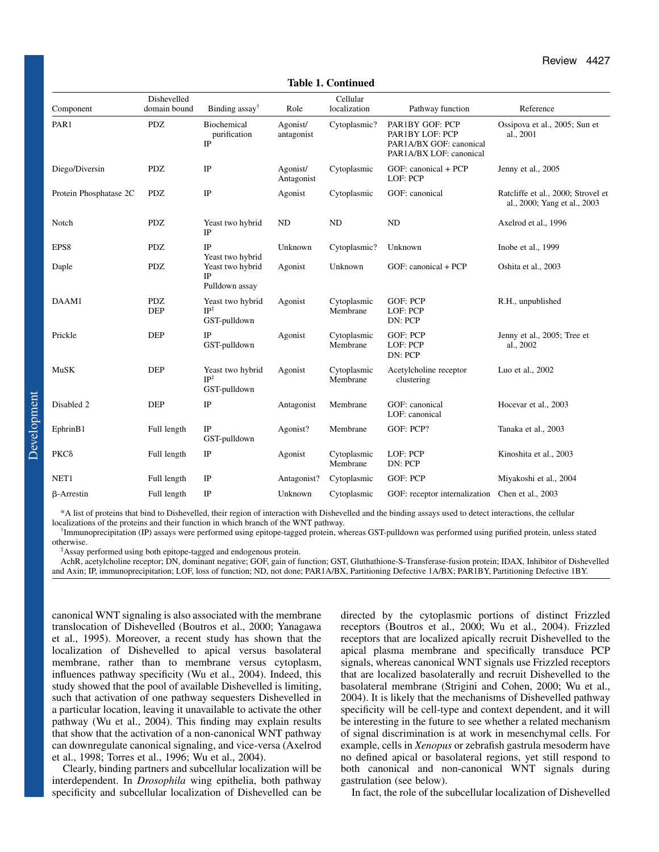| Component              | Dishevelled<br>domain bound | Binding $assay^{\dagger}$                           | Role                   | Cellular<br>localization | Pathway function                                                                         | Reference                                                          |
|------------------------|-----------------------------|-----------------------------------------------------|------------------------|--------------------------|------------------------------------------------------------------------------------------|--------------------------------------------------------------------|
| PAR1                   | <b>PDZ</b>                  | Biochemical<br>purification<br>IP                   | Agonist/<br>antagonist | Cytoplasmic?             | PAR1BY GOF: PCP<br>PAR1BY LOF: PCP<br>PAR1A/BX GOF: canonical<br>PAR1A/BX LOF: canonical | Ossipova et al., 2005; Sun et<br>al., 2001                         |
| Diego/Diversin         | <b>PDZ</b>                  | IP                                                  | Agonist/<br>Antagonist | Cytoplasmic              | GOF: canonical + PCP<br>LOF: PCP                                                         | Jenny et al., 2005                                                 |
| Protein Phosphatase 2C | <b>PDZ</b>                  | IP                                                  | Agonist                | Cytoplasmic              | GOF: canonical                                                                           | Ratcliffe et al., 2000; Strovel et<br>al., 2000; Yang et al., 2003 |
| Notch                  | <b>PDZ</b>                  | Yeast two hybrid<br>IP                              | ND                     | <b>ND</b>                | <b>ND</b>                                                                                | Axelrod et al., 1996                                               |
| EPS8                   | <b>PDZ</b>                  | IP<br>Yeast two hybrid                              | Unknown                | Cytoplasmic?             | Unknown                                                                                  | Inobe et al., 1999                                                 |
| Daple                  | <b>PDZ</b>                  | Yeast two hybrid<br>IP<br>Pulldown assay            | Agonist                | Unknown                  | GOF: canonical + PCP                                                                     | Oshita et al., 2003                                                |
| DAAM1                  | <b>PDZ</b><br><b>DEP</b>    | Yeast two hybrid<br>$IP^{\ddagger}$<br>GST-pulldown | Agonist                | Cytoplasmic<br>Membrane  | <b>GOF: PCP</b><br>LOF: PCP<br>DN: PCP                                                   | R.H., unpublished                                                  |
| Prickle                | <b>DEP</b>                  | IP<br>GST-pulldown                                  | Agonist                | Cytoplasmic<br>Membrane  | <b>GOF: PCP</b><br>LOF: PCP<br>DN: PCP                                                   | Jenny et al., 2005; Tree et<br>al., 2002                           |
| MuSK                   | <b>DEP</b>                  | Yeast two hybrid<br>$IP^{\ddagger}$<br>GST-pulldown | Agonist                | Cytoplasmic<br>Membrane  | Acetylcholine receptor<br>clustering                                                     | Luo et al., 2002                                                   |
| Disabled 2             | <b>DEP</b>                  | IP                                                  | Antagonist             | Membrane                 | GOF: canonical<br>LOF: canonical                                                         | Hocevar et al., 2003                                               |
| EphrinB1               | Full length                 | IP<br>GST-pulldown                                  | Agonist?               | Membrane                 | GOF: PCP?                                                                                | Tanaka et al., 2003                                                |
| PKC <sub>δ</sub>       | Full length                 | $_{\rm IP}$                                         | Agonist                | Cytoplasmic<br>Membrane  | LOF: PCP<br>DN: PCP                                                                      | Kinoshita et al., 2003                                             |
| NET1                   | Full length                 | IP                                                  | Antagonist?            | Cytoplasmic              | GOF: PCP                                                                                 | Miyakoshi et al., 2004                                             |
| $\beta$ -Arrestin      | Full length                 | $_{\rm IP}$                                         | Unknown                | Cytoplasmic              | GOF: receptor internalization                                                            | Chen et al., 2003                                                  |

**Table 1. Continued**

\*A list of proteins that bind to Dishevelled, their region of interaction with Dishevelled and the binding assays used to detect interactions, the cellular localizations of the proteins and their function in which branch of the WNT pathway.

† Immunoprecipitation (IP) assays were performed using epitope-tagged protein, whereas GST-pulldown was performed using purified protein, unless stated otherwise.

‡ Assay performed using both epitope-tagged and endogenous protein.

AchR, acetylcholine receptor; DN, dominant negative; GOF, gain of function; GST, Gluthathione-S-Transferase-fusion protein; IDAX, Inhibitor of Dishevelled and Axin; IP, immunoprecipitation; LOF, loss of function; ND, not done; PAR1A/BX, Partitioning Defective 1A/BX; PAR1BY, Partitioning Defective 1BY.

canonical WNT signaling is also associated with the membrane translocation of Dishevelled (Boutros et al., 2000; Yanagawa et al., 1995). Moreover, a recent study has shown that the localization of Dishevelled to apical versus basolateral membrane, rather than to membrane versus cytoplasm, influences pathway specificity (Wu et al., 2004). Indeed, this study showed that the pool of available Dishevelled is limiting, such that activation of one pathway sequesters Dishevelled in a particular location, leaving it unavailable to activate the other pathway (Wu et al., 2004). This finding may explain results that show that the activation of a non-canonical WNT pathway can downregulate canonical signaling, and vice-versa (Axelrod et al., 1998; Torres et al., 1996; Wu et al., 2004).

Clearly, binding partners and subcellular localization will be interdependent. In *Drosophila* wing epithelia, both pathway specificity and subcellular localization of Dishevelled can be directed by the cytoplasmic portions of distinct Frizzled receptors (Boutros et al., 2000; Wu et al., 2004). Frizzled receptors that are localized apically recruit Dishevelled to the apical plasma membrane and specifically transduce PCP signals, whereas canonical WNT signals use Frizzled receptors that are localized basolaterally and recruit Dishevelled to the basolateral membrane (Strigini and Cohen, 2000; Wu et al., 2004). It is likely that the mechanisms of Dishevelled pathway specificity will be cell-type and context dependent, and it will be interesting in the future to see whether a related mechanism of signal discrimination is at work in mesenchymal cells. For example, cells in *Xenopus* or zebrafish gastrula mesoderm have no defined apical or basolateral regions, yet still respond to both canonical and non-canonical WNT signals during gastrulation (see below).

In fact, the role of the subcellular localization of Dishevelled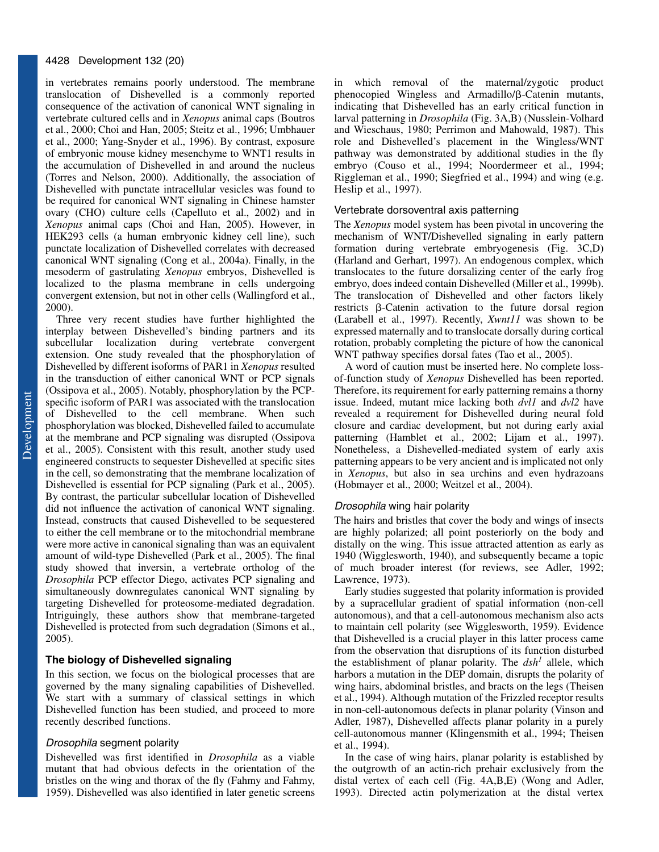in vertebrates remains poorly understood. The membrane translocation of Dishevelled is a commonly reported consequence of the activation of canonical WNT signaling in vertebrate cultured cells and in *Xenopus* animal caps (Boutros et al., 2000; Choi and Han, 2005; Steitz et al., 1996; Umbhauer et al., 2000; Yang-Snyder et al., 1996). By contrast, exposure of embryonic mouse kidney mesenchyme to WNT1 results in the accumulation of Dishevelled in and around the nucleus (Torres and Nelson, 2000). Additionally, the association of Dishevelled with punctate intracellular vesicles was found to be required for canonical WNT signaling in Chinese hamster ovary (CHO) culture cells (Capelluto et al., 2002) and in *Xenopus* animal caps (Choi and Han, 2005). However, in HEK293 cells (a human embryonic kidney cell line), such punctate localization of Dishevelled correlates with decreased canonical WNT signaling (Cong et al., 2004a). Finally, in the mesoderm of gastrulating *Xenopus* embryos, Dishevelled is localized to the plasma membrane in cells undergoing convergent extension, but not in other cells (Wallingford et al., 2000).

Three very recent studies have further highlighted the interplay between Dishevelled's binding partners and its subcellular localization during vertebrate convergent extension. One study revealed that the phosphorylation of Dishevelled by different isoforms of PAR1 in *Xenopus* resulted in the transduction of either canonical WNT or PCP signals (Ossipova et al., 2005). Notably, phosphorylation by the PCPspecific isoform of PAR1 was associated with the translocation of Dishevelled to the cell membrane. When such phosphorylation was blocked, Dishevelled failed to accumulate at the membrane and PCP signaling was disrupted (Ossipova et al., 2005). Consistent with this result, another study used engineered constructs to sequester Dishevelled at specific sites in the cell, so demonstrating that the membrane localization of Dishevelled is essential for PCP signaling (Park et al., 2005). By contrast, the particular subcellular location of Dishevelled did not influence the activation of canonical WNT signaling. Instead, constructs that caused Dishevelled to be sequestered to either the cell membrane or to the mitochondrial membrane were more active in canonical signaling than was an equivalent amount of wild-type Dishevelled (Park et al., 2005). The final study showed that inversin, a vertebrate ortholog of the *Drosophila* PCP effector Diego, activates PCP signaling and simultaneously downregulates canonical WNT signaling by targeting Dishevelled for proteosome-mediated degradation. Intriguingly, these authors show that membrane-targeted Dishevelled is protected from such degradation (Simons et al., 2005).

## **The biology of Dishevelled signaling**

In this section, we focus on the biological processes that are governed by the many signaling capabilities of Dishevelled. We start with a summary of classical settings in which Dishevelled function has been studied, and proceed to more recently described functions.

#### Drosophila segment polarity

Dishevelled was first identified in *Drosophila* as a viable mutant that had obvious defects in the orientation of the bristles on the wing and thorax of the fly (Fahmy and Fahmy, 1959). Dishevelled was also identified in later genetic screens

in which removal of the maternal/zygotic product phenocopied Wingless and Armadillo/ $\beta$ -Catenin mutants, indicating that Dishevelled has an early critical function in larval patterning in *Drosophila* (Fig. 3A,B) (Nusslein-Volhard and Wieschaus, 1980; Perrimon and Mahowald, 1987). This role and Dishevelled's placement in the Wingless/WNT pathway was demonstrated by additional studies in the fly embryo (Couso et al., 1994; Noordermeer et al., 1994; Riggleman et al., 1990; Siegfried et al., 1994) and wing (e.g. Heslip et al., 1997).

#### Vertebrate dorsoventral axis patterning

The *Xenopus* model system has been pivotal in uncovering the mechanism of WNT/Dishevelled signaling in early pattern formation during vertebrate embryogenesis (Fig. 3C,D) (Harland and Gerhart, 1997). An endogenous complex, which translocates to the future dorsalizing center of the early frog embryo, does indeed contain Dishevelled (Miller et al., 1999b). The translocation of Dishevelled and other factors likely restricts  $\beta$ -Catenin activation to the future dorsal region (Larabell et al., 1997). Recently, *Xwnt11* was shown to be expressed maternally and to translocate dorsally during cortical rotation, probably completing the picture of how the canonical WNT pathway specifies dorsal fates (Tao et al., 2005).

A word of caution must be inserted here. No complete lossof-function study of *Xenopus* Dishevelled has been reported. Therefore, its requirement for early patterning remains a thorny issue. Indeed, mutant mice lacking both *dvl1* and *dvl2* have revealed a requirement for Dishevelled during neural fold closure and cardiac development, but not during early axial patterning (Hamblet et al., 2002; Lijam et al., 1997). Nonetheless, a Dishevelled-mediated system of early axis patterning appears to be very ancient and is implicated not only in *Xenopus*, but also in sea urchins and even hydrazoans (Hobmayer et al., 2000; Weitzel et al., 2004).

## Drosophila wing hair polarity

The hairs and bristles that cover the body and wings of insects are highly polarized; all point posteriorly on the body and distally on the wing. This issue attracted attention as early as 1940 (Wigglesworth, 1940), and subsequently became a topic of much broader interest (for reviews, see Adler, 1992; Lawrence, 1973).

Early studies suggested that polarity information is provided by a supracellular gradient of spatial information (non-cell autonomous), and that a cell-autonomous mechanism also acts to maintain cell polarity (see Wigglesworth, 1959). Evidence that Dishevelled is a crucial player in this latter process came from the observation that disruptions of its function disturbed the establishment of planar polarity. The  $dsh<sup>1</sup>$  allele, which harbors a mutation in the DEP domain, disrupts the polarity of wing hairs, abdominal bristles, and bracts on the legs (Theisen et al., 1994). Although mutation of the Frizzled receptor results in non-cell-autonomous defects in planar polarity (Vinson and Adler, 1987), Dishevelled affects planar polarity in a purely cell-autonomous manner (Klingensmith et al., 1994; Theisen et al., 1994).

In the case of wing hairs, planar polarity is established by the outgrowth of an actin-rich prehair exclusively from the distal vertex of each cell (Fig. 4A,B,E) (Wong and Adler, 1993). Directed actin polymerization at the distal vertex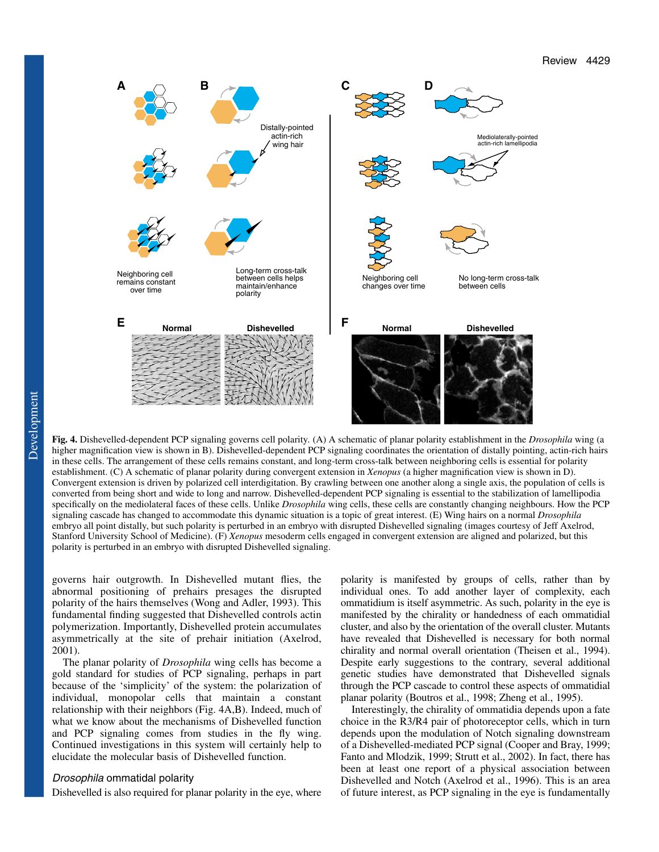

**Fig. 4.** Dishevelled-dependent PCP signaling governs cell polarity*.* (A) A schematic of planar polarity establishment in the *Drosophila* wing (a higher magnification view is shown in B). Dishevelled-dependent PCP signaling coordinates the orientation of distally pointing, actin-rich hairs in these cells. The arrangement of these cells remains constant, and long-term cross-talk between neighboring cells is essential for polarity establishment. (C) A schematic of planar polarity during convergent extension in *Xenopus* (a higher magnification view is shown in D). Convergent extension is driven by polarized cell interdigitation. By crawling between one another along a single axis, the population of cells is converted from being short and wide to long and narrow. Dishevelled-dependent PCP signaling is essential to the stabilization of lamellipodia specifically on the mediolateral faces of these cells. Unlike *Drosophila* wing cells, these cells are constantly changing neighbours. How the PCP signaling cascade has changed to accommodate this dynamic situation is a topic of great interest. (E) Wing hairs on a normal *Drosophila* embryo all point distally, but such polarity is perturbed in an embryo with disrupted Dishevelled signaling (images courtesy of Jeff Axelrod, Stanford University School of Medicine). (F) *Xenopus* mesoderm cells engaged in convergent extension are aligned and polarized, but this

governs hair outgrowth. In Dishevelled mutant flies, the abnormal positioning of prehairs presages the disrupted polarity of the hairs themselves (Wong and Adler, 1993). This fundamental finding suggested that Dishevelled controls actin polymerization. Importantly, Dishevelled protein accumulates asymmetrically at the site of prehair initiation (Axelrod, 2001).

polarity is perturbed in an embryo with disrupted Dishevelled signaling.

The planar polarity of *Drosophila* wing cells has become a gold standard for studies of PCP signaling, perhaps in part because of the 'simplicity' of the system: the polarization of individual, monopolar cells that maintain a constant relationship with their neighbors (Fig. 4A,B). Indeed, much of what we know about the mechanisms of Dishevelled function and PCP signaling comes from studies in the fly wing. Continued investigations in this system will certainly help to elucidate the molecular basis of Dishevelled function.

#### Drosophila ommatidal polarity

Dishevelled is also required for planar polarity in the eye, where

polarity is manifested by groups of cells, rather than by individual ones. To add another layer of complexity, each ommatidium is itself asymmetric. As such, polarity in the eye is manifested by the chirality or handedness of each ommatidial cluster, and also by the orientation of the overall cluster. Mutants have revealed that Dishevelled is necessary for both normal chirality and normal overall orientation (Theisen et al., 1994). Despite early suggestions to the contrary, several additional genetic studies have demonstrated that Dishevelled signals through the PCP cascade to control these aspects of ommatidial planar polarity (Boutros et al., 1998; Zheng et al., 1995).

Interestingly, the chirality of ommatidia depends upon a fate choice in the R3/R4 pair of photoreceptor cells, which in turn depends upon the modulation of Notch signaling downstream of a Dishevelled-mediated PCP signal (Cooper and Bray, 1999; Fanto and Mlodzik, 1999; Strutt et al., 2002). In fact, there has been at least one report of a physical association between Dishevelled and Notch (Axelrod et al., 1996). This is an area of future interest, as PCP signaling in the eye is fundamentally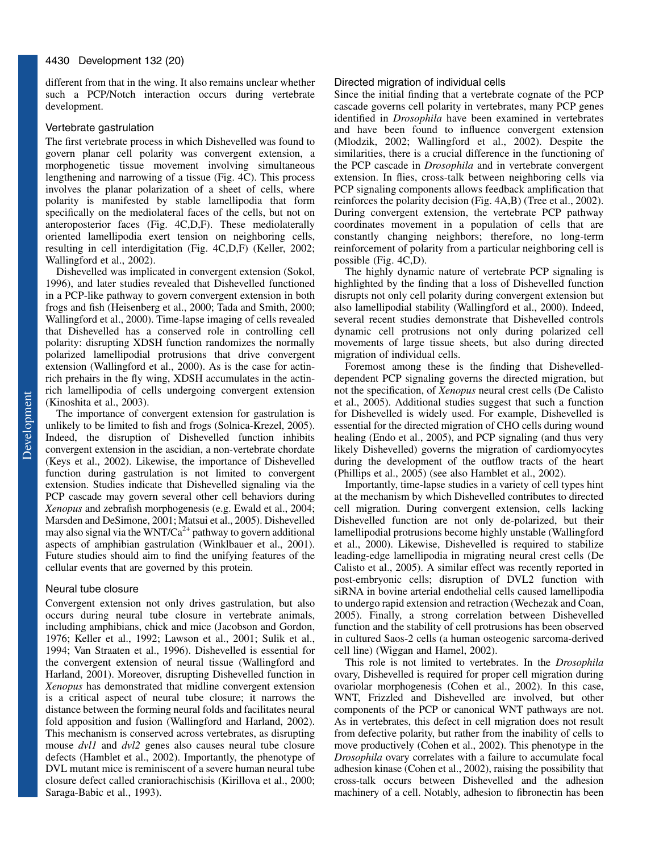different from that in the wing. It also remains unclear whether such a PCP/Notch interaction occurs during vertebrate development.

## Vertebrate gastrulation

The first vertebrate process in which Dishevelled was found to govern planar cell polarity was convergent extension, a morphogenetic tissue movement involving simultaneous lengthening and narrowing of a tissue (Fig. 4C). This process involves the planar polarization of a sheet of cells, where polarity is manifested by stable lamellipodia that form specifically on the mediolateral faces of the cells, but not on anteroposterior faces (Fig. 4C,D,F). These mediolaterally oriented lamellipodia exert tension on neighboring cells, resulting in cell interdigitation (Fig. 4C,D,F) (Keller, 2002; Wallingford et al., 2002).

Dishevelled was implicated in convergent extension (Sokol, 1996), and later studies revealed that Dishevelled functioned in a PCP-like pathway to govern convergent extension in both frogs and fish (Heisenberg et al., 2000; Tada and Smith, 2000; Wallingford et al., 2000). Time-lapse imaging of cells revealed that Dishevelled has a conserved role in controlling cell polarity: disrupting XDSH function randomizes the normally polarized lamellipodial protrusions that drive convergent extension (Wallingford et al., 2000). As is the case for actinrich prehairs in the fly wing, XDSH accumulates in the actinrich lamellipodia of cells undergoing convergent extension (Kinoshita et al., 2003).

The importance of convergent extension for gastrulation is unlikely to be limited to fish and frogs (Solnica-Krezel, 2005). Indeed, the disruption of Dishevelled function inhibits convergent extension in the ascidian, a non-vertebrate chordate (Keys et al., 2002). Likewise, the importance of Dishevelled function during gastrulation is not limited to convergent extension. Studies indicate that Dishevelled signaling via the PCP cascade may govern several other cell behaviors during *Xenopus* and zebrafish morphogenesis (e.g. Ewald et al., 2004; Marsden and DeSimone, 2001; Matsui et al., 2005). Dishevelled may also signal via the WNT/Ca<sup>2+</sup> pathway to govern additional aspects of amphibian gastrulation (Winklbauer et al., 2001). Future studies should aim to find the unifying features of the cellular events that are governed by this protein.

#### Neural tube closure

Convergent extension not only drives gastrulation, but also occurs during neural tube closure in vertebrate animals, including amphibians, chick and mice (Jacobson and Gordon, 1976; Keller et al., 1992; Lawson et al., 2001; Sulik et al., 1994; Van Straaten et al., 1996). Dishevelled is essential for the convergent extension of neural tissue (Wallingford and Harland, 2001). Moreover, disrupting Dishevelled function in *Xenopus* has demonstrated that midline convergent extension is a critical aspect of neural tube closure; it narrows the distance between the forming neural folds and facilitates neural fold apposition and fusion (Wallingford and Harland, 2002). This mechanism is conserved across vertebrates, as disrupting mouse *dvl1* and *dvl2* genes also causes neural tube closure defects (Hamblet et al., 2002). Importantly, the phenotype of DVL mutant mice is reminiscent of a severe human neural tube closure defect called craniorachischisis (Kirillova et al., 2000; Saraga-Babic et al., 1993).

#### Directed migration of individual cells

Since the initial finding that a vertebrate cognate of the PCP cascade governs cell polarity in vertebrates, many PCP genes identified in *Drosophila* have been examined in vertebrates and have been found to influence convergent extension (Mlodzik, 2002; Wallingford et al., 2002). Despite the similarities, there is a crucial difference in the functioning of the PCP cascade in *Drosophila* and in vertebrate convergent extension. In flies, cross-talk between neighboring cells via PCP signaling components allows feedback amplification that reinforces the polarity decision (Fig. 4A,B) (Tree et al., 2002). During convergent extension, the vertebrate PCP pathway coordinates movement in a population of cells that are constantly changing neighbors; therefore, no long-term reinforcement of polarity from a particular neighboring cell is possible (Fig. 4C,D).

The highly dynamic nature of vertebrate PCP signaling is highlighted by the finding that a loss of Dishevelled function disrupts not only cell polarity during convergent extension but also lamellipodial stability (Wallingford et al., 2000). Indeed, several recent studies demonstrate that Dishevelled controls dynamic cell protrusions not only during polarized cell movements of large tissue sheets, but also during directed migration of individual cells.

Foremost among these is the finding that Dishevelleddependent PCP signaling governs the directed migration, but not the specification, of *Xenopus* neural crest cells (De Calisto et al., 2005). Additional studies suggest that such a function for Dishevelled is widely used. For example, Dishevelled is essential for the directed migration of CHO cells during wound healing (Endo et al., 2005), and PCP signaling (and thus very likely Dishevelled) governs the migration of cardiomyocytes during the development of the outflow tracts of the heart (Phillips et al., 2005) (see also Hamblet et al., 2002).

Importantly, time-lapse studies in a variety of cell types hint at the mechanism by which Dishevelled contributes to directed cell migration. During convergent extension, cells lacking Dishevelled function are not only de-polarized, but their lamellipodial protrusions become highly unstable (Wallingford et al., 2000). Likewise, Dishevelled is required to stabilize leading-edge lamellipodia in migrating neural crest cells (De Calisto et al., 2005). A similar effect was recently reported in post-embryonic cells; disruption of DVL2 function with siRNA in bovine arterial endothelial cells caused lamellipodia to undergo rapid extension and retraction (Wechezak and Coan, 2005). Finally, a strong correlation between Dishevelled function and the stability of cell protrusions has been observed in cultured Saos-2 cells (a human osteogenic sarcoma-derived cell line) (Wiggan and Hamel, 2002).

This role is not limited to vertebrates. In the *Drosophila* ovary, Dishevelled is required for proper cell migration during ovariolar morphogenesis (Cohen et al., 2002). In this case, WNT, Frizzled and Dishevelled are involved, but other components of the PCP or canonical WNT pathways are not. As in vertebrates, this defect in cell migration does not result from defective polarity, but rather from the inability of cells to move productively (Cohen et al., 2002). This phenotype in the *Drosophila* ovary correlates with a failure to accumulate focal adhesion kinase (Cohen et al., 2002), raising the possibility that cross-talk occurs between Dishevelled and the adhesion machinery of a cell. Notably, adhesion to fibronectin has been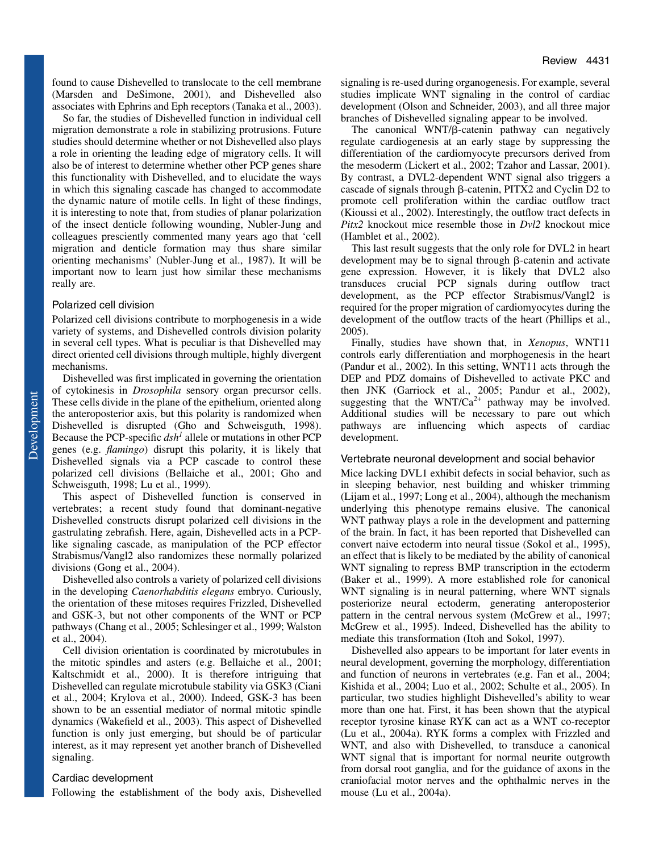found to cause Dishevelled to translocate to the cell membrane (Marsden and DeSimone, 2001), and Dishevelled also associates with Ephrins and Eph receptors (Tanaka et al., 2003).

So far, the studies of Dishevelled function in individual cell migration demonstrate a role in stabilizing protrusions. Future studies should determine whether or not Dishevelled also plays a role in orienting the leading edge of migratory cells. It will also be of interest to determine whether other PCP genes share this functionality with Dishevelled, and to elucidate the ways in which this signaling cascade has changed to accommodate the dynamic nature of motile cells. In light of these findings, it is interesting to note that, from studies of planar polarization of the insect denticle following wounding, Nubler-Jung and colleagues presciently commented many years ago that 'cell migration and denticle formation may thus share similar orienting mechanisms' (Nubler-Jung et al., 1987). It will be important now to learn just how similar these mechanisms really are.

#### Polarized cell division

Polarized cell divisions contribute to morphogenesis in a wide variety of systems, and Dishevelled controls division polarity in several cell types. What is peculiar is that Dishevelled may direct oriented cell divisions through multiple, highly divergent mechanisms.

Dishevelled was first implicated in governing the orientation of cytokinesis in *Drosophila* sensory organ precursor cells. These cells divide in the plane of the epithelium, oriented along the anteroposterior axis, but this polarity is randomized when Dishevelled is disrupted (Gho and Schweisguth, 1998). Because the PCP-specific *dsh<sup>1</sup>* allele or mutations in other PCP genes (e.g. *flamingo*) disrupt this polarity, it is likely that Dishevelled signals via a PCP cascade to control these polarized cell divisions (Bellaiche et al., 2001; Gho and Schweisguth, 1998; Lu et al., 1999).

This aspect of Dishevelled function is conserved in vertebrates; a recent study found that dominant-negative Dishevelled constructs disrupt polarized cell divisions in the gastrulating zebrafish. Here, again, Dishevelled acts in a PCPlike signaling cascade, as manipulation of the PCP effector Strabismus/Vangl2 also randomizes these normally polarized divisions (Gong et al., 2004).

Dishevelled also controls a variety of polarized cell divisions in the developing *Caenorhabditis elegans* embryo. Curiously, the orientation of these mitoses requires Frizzled, Dishevelled and GSK-3, but not other components of the WNT or PCP pathways (Chang et al., 2005; Schlesinger et al., 1999; Walston et al., 2004).

Cell division orientation is coordinated by microtubules in the mitotic spindles and asters (e.g. Bellaiche et al., 2001; Kaltschmidt et al., 2000). It is therefore intriguing that Dishevelled can regulate microtubule stability via GSK3 (Ciani et al., 2004; Krylova et al., 2000). Indeed, GSK-3 has been shown to be an essential mediator of normal mitotic spindle dynamics (Wakefield et al., 2003). This aspect of Dishevelled function is only just emerging, but should be of particular interest, as it may represent yet another branch of Dishevelled signaling.

## Cardiac development

Following the establishment of the body axis, Dishevelled

signaling is re-used during organogenesis. For example, several studies implicate WNT signaling in the control of cardiac development (Olson and Schneider, 2003), and all three major branches of Dishevelled signaling appear to be involved.

The canonical  $WNT/\beta$ -catenin pathway can negatively regulate cardiogenesis at an early stage by suppressing the differentiation of the cardiomyocyte precursors derived from the mesoderm (Lickert et al., 2002; Tzahor and Lassar, 2001). By contrast, a DVL2-dependent WNT signal also triggers a cascade of signals through  $\beta$ -catenin, PITX2 and Cyclin D2 to promote cell proliferation within the cardiac outflow tract (Kioussi et al., 2002). Interestingly, the outflow tract defects in *Pitx2* knockout mice resemble those in *Dvl2* knockout mice (Hamblet et al., 2002).

This last result suggests that the only role for DVL2 in heart development may be to signal through  $\beta$ -catenin and activate gene expression. However, it is likely that DVL2 also transduces crucial PCP signals during outflow tract development, as the PCP effector Strabismus/Vangl2 is required for the proper migration of cardiomyocytes during the development of the outflow tracts of the heart (Phillips et al., 2005).

Finally, studies have shown that, in *Xenopus*, WNT11 controls early differentiation and morphogenesis in the heart (Pandur et al., 2002). In this setting, WNT11 acts through the DEP and PDZ domains of Dishevelled to activate PKC and then JNK (Garriock et al., 2005; Pandur et al., 2002), suggesting that the WNT/Ca<sup>2+</sup> pathway may be involved. Additional studies will be necessary to pare out which pathways are influencing which aspects of cardiac development.

#### Vertebrate neuronal development and social behavior

Mice lacking DVL1 exhibit defects in social behavior, such as in sleeping behavior, nest building and whisker trimming (Lijam et al., 1997; Long et al., 2004), although the mechanism underlying this phenotype remains elusive. The canonical WNT pathway plays a role in the development and patterning of the brain. In fact, it has been reported that Dishevelled can convert naive ectoderm into neural tissue (Sokol et al., 1995), an effect that is likely to be mediated by the ability of canonical WNT signaling to repress BMP transcription in the ectoderm (Baker et al., 1999). A more established role for canonical WNT signaling is in neural patterning, where WNT signals posteriorize neural ectoderm, generating anteroposterior pattern in the central nervous system (McGrew et al., 1997; McGrew et al., 1995). Indeed, Dishevelled has the ability to mediate this transformation (Itoh and Sokol, 1997).

Dishevelled also appears to be important for later events in neural development, governing the morphology, differentiation and function of neurons in vertebrates (e.g. Fan et al., 2004; Kishida et al., 2004; Luo et al., 2002; Schulte et al., 2005). In particular, two studies highlight Dishevelled's ability to wear more than one hat. First, it has been shown that the atypical receptor tyrosine kinase RYK can act as a WNT co-receptor (Lu et al., 2004a). RYK forms a complex with Frizzled and WNT, and also with Dishevelled, to transduce a canonical WNT signal that is important for normal neurite outgrowth from dorsal root ganglia, and for the guidance of axons in the craniofacial motor nerves and the ophthalmic nerves in the mouse (Lu et al., 2004a).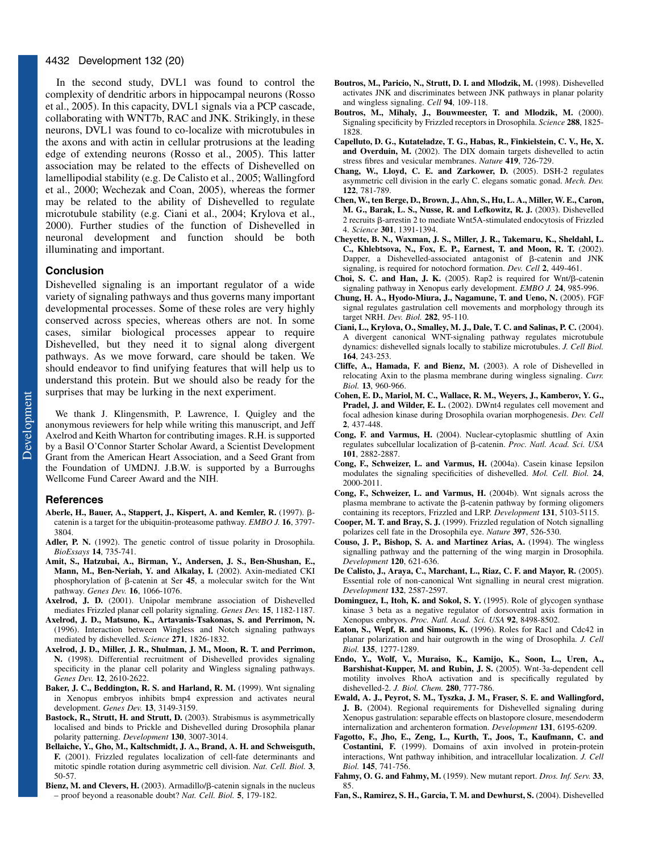In the second study, DVL1 was found to control the complexity of dendritic arbors in hippocampal neurons (Rosso et al., 2005). In this capacity, DVL1 signals via a PCP cascade, collaborating with WNT7b, RAC and JNK. Strikingly, in these neurons, DVL1 was found to co-localize with microtubules in the axons and with actin in cellular protrusions at the leading edge of extending neurons (Rosso et al., 2005). This latter association may be related to the effects of Dishevelled on lamellipodial stability (e.g. De Calisto et al., 2005; Wallingford et al., 2000; Wechezak and Coan, 2005), whereas the former may be related to the ability of Dishevelled to regulate microtubule stability (e.g. Ciani et al., 2004; Krylova et al., 2000). Further studies of the function of Dishevelled in neuronal development and function should be both illuminating and important.

## **Conclusion**

Dishevelled signaling is an important regulator of a wide variety of signaling pathways and thus governs many important developmental processes. Some of these roles are very highly conserved across species, whereas others are not. In some cases, similar biological processes appear to require Dishevelled, but they need it to signal along divergent pathways. As we move forward, care should be taken. We should endeavor to find unifying features that will help us to understand this protein. But we should also be ready for the surprises that may be lurking in the next experiment.

We thank J. Klingensmith, P. Lawrence, I. Quigley and the anonymous reviewers for help while writing this manuscript, and Jeff Axelrod and Keith Wharton for contributing images. R.H. is supported by a Basil O'Connor Starter Scholar Award, a Scientist Development Grant from the American Heart Association, and a Seed Grant from the Foundation of UMDNJ. J.B.W. is supported by a Burroughs Wellcome Fund Career Award and the NIH.

#### **References**

- Aberle, H., Bauer, A., Stappert, J., Kispert, A. and Kemler, R. (1997). βcatenin is a target for the ubiquitin-proteasome pathway. *EMBO J.* **16**, 3797- 3804.
- **Adler, P. N.** (1992). The genetic control of tissue polarity in Drosophila. *BioEssays* **14**, 735-741.
- **Amit, S., Hatzubai, A., Birman, Y., Andersen, J. S., Ben-Shushan, E., Mann, M., Ben-Neriah, Y. and Alkalay, I.** (2002). Axin-mediated CKI phosphorylation of  $\beta$ -catenin at Ser 45, a molecular switch for the Wnt pathway. *Genes Dev.* **16**, 1066-1076.
- **Axelrod, J. D.** (2001). Unipolar membrane association of Dishevelled mediates Frizzled planar cell polarity signaling. *Genes Dev.* **15**, 1182-1187.
- **Axelrod, J. D., Matsuno, K., Artavanis-Tsakonas, S. and Perrimon, N.** (1996). Interaction between Wingless and Notch signaling pathways mediated by dishevelled. *Science* **271**, 1826-1832.
- **Axelrod, J. D., Miller, J. R., Shulman, J. M., Moon, R. T. and Perrimon, N.** (1998). Differential recruitment of Dishevelled provides signaling specificity in the planar cell polarity and Wingless signaling pathways. *Genes Dev.* **12**, 2610-2622.
- **Baker, J. C., Beddington, R. S. and Harland, R. M.** (1999). Wnt signaling in Xenopus embryos inhibits bmp4 expression and activates neural development. *Genes Dev.* **13**, 3149-3159.
- **Bastock, R., Strutt, H. and Strutt, D.** (2003). Strabismus is asymmetrically localised and binds to Prickle and Dishevelled during Drosophila planar polarity patterning. *Development* **130**, 3007-3014.
- **Bellaiche, Y., Gho, M., Kaltschmidt, J. A., Brand, A. H. and Schweisguth, F.** (2001). Frizzled regulates localization of cell-fate determinants and mitotic spindle rotation during asymmetric cell division. *Nat. Cell. Biol.* **3**, 50-57.
- Bienz, M. and Clevers, H. (2003). Armadillo/ $\beta$ -catenin signals in the nucleus – proof beyond a reasonable doubt? *Nat. Cell. Biol.* **5**, 179-182.
- **Boutros, M., Paricio, N., Strutt, D. I. and Mlodzik, M.** (1998). Dishevelled activates JNK and discriminates between JNK pathways in planar polarity and wingless signaling. *Cell* **94**, 109-118.
- **Boutros, M., Mihaly, J., Bouwmeester, T. and Mlodzik, M.** (2000). Signaling specificity by Frizzled receptors in Drosophila. *Science* **288**, 1825- 1828.
- **Capelluto, D. G., Kutateladze, T. G., Habas, R., Finkielstein, C. V., He, X.** and Overduin, M. (2002). The DIX domain targets dishevelled to actin stress fibres and vesicular membranes. *Nature* **419**, 726-729.
- **Chang, W., Lloyd, C. E. and Zarkower, D.** (2005). DSH-2 regulates asymmetric cell division in the early C. elegans somatic gonad. *Mech. Dev.* **122**, 781-789.
- **Chen, W., ten Berge, D., Brown, J., Ahn, S., Hu, L. A., Miller, W. E., Caron, M. G., Barak, L. S., Nusse, R. and Lefkowitz, R. J.** (2003). Dishevelled  $2$  recruits  $\beta$ -arrestin 2 to mediate Wnt5A-stimulated endocytosis of Frizzled 4. *Science* **301**, 1391-1394.
- **Cheyette, B. N., Waxman, J. S., Miller, J. R., Takemaru, K., Sheldahl, L. C., Khlebtsova, N., Fox, E. P., Earnest, T. and Moon, R. T.** (2002). Dapper, a Dishevelled-associated antagonist of  $\beta$ -catenin and JNK signaling, is required for notochord formation. *Dev. Cell* **2**, 449-461.
- Choi, S. C. and Han, J. K.  $(2005)$ . Rap2 is required for Wnt/ $\beta$ -catenin signaling pathway in Xenopus early development. *EMBO J.* **24**, 985-996.
- **Chung, H. A., Hyodo-Miura, J., Nagamune, T. and Ueno, N.** (2005). FGF signal regulates gastrulation cell movements and morphology through its target NRH. *Dev. Biol.* **282**, 95-110.
- **Ciani, L., Krylova, O., Smalley, M. J., Dale, T. C. and Salinas, P. C.** (2004). A divergent canonical WNT-signaling pathway regulates microtubule dynamics: dishevelled signals locally to stabilize microtubules. *J. Cell Biol.* **164**, 243-253.
- **Cliffe, A., Hamada, F. and Bienz, M.** (2003). A role of Dishevelled in relocating Axin to the plasma membrane during wingless signaling. *Curr. Biol.* **13**, 960-966.
- **Cohen, E. D., Mariol, M. C., Wallace, R. M., Weyers, J., Kamberov, Y. G., Pradel, J. and Wilder, E. L.** (2002). DWnt4 regulates cell movement and focal adhesion kinase during Drosophila ovarian morphogenesis. *Dev. Cell* **2**, 437-448.
- **Cong, F. and Varmus, H.** (2004). Nuclear-cytoplasmic shuttling of Axin regulates subcellular localization of β-catenin. *Proc. Natl. Acad. Sci. USA* **101**, 2882-2887.
- **Cong, F., Schweizer, L. and Varmus, H.** (2004a). Casein kinase Iepsilon modulates the signaling specificities of dishevelled. *Mol. Cell. Biol.* **24**, 2000-2011.
- **Cong, F., Schweizer, L. and Varmus, H.** (2004b). Wnt signals across the plasma membrane to activate the  $\beta$ -catenin pathway by forming oligomers containing its receptors, Frizzled and LRP. *Development* **131**, 5103-5115.
- **Cooper, M. T. and Bray, S. J.** (1999). Frizzled regulation of Notch signalling polarizes cell fate in the Drosophila eye. *Nature* **397**, 526-530.
- **Couso, J. P., Bishop, S. A. and Martinez Arias, A.** (1994). The wingless signalling pathway and the patterning of the wing margin in Drosophila. *Development* **120**, 621-636.
- **De Calisto, J., Araya, C., Marchant, L., Riaz, C. F. and Mayor, R.** (2005). Essential role of non-canonical Wnt signalling in neural crest migration. *Development* **132**, 2587-2597.
- **Dominguez, I., Itoh, K. and Sokol, S. Y.** (1995). Role of glycogen synthase kinase 3 beta as a negative regulator of dorsoventral axis formation in Xenopus embryos. *Proc. Natl. Acad. Sci. USA* **92**, 8498-8502.
- **Eaton, S., Wepf, R. and Simons, K.** (1996). Roles for Rac1 and Cdc42 in planar polarization and hair outgrowth in the wing of Drosophila. *J. Cell Biol.* **135**, 1277-1289.
- **Endo, Y., Wolf, V., Muraiso, K., Kamijo, K., Soon, L., Uren, A., Barshishat-Kupper, M. and Rubin, J. S.** (2005). Wnt-3a-dependent cell motility involves RhoA activation and is specifically regulated by dishevelled-2. *J. Biol. Chem.* **280**, 777-786.
- **Ewald, A. J., Peyrot, S. M., Tyszka, J. M., Fraser, S. E. and Wallingford, J. B.** (2004). Regional requirements for Dishevelled signaling during Xenopus gastrulation: separable effects on blastopore closure, mesendoderm internalization and archenteron formation. *Development* **131**, 6195-6209.
- **Fagotto, F., Jho, E., Zeng, L., Kurth, T., Joos, T., Kaufmann, C. and Costantini, F.** (1999). Domains of axin involved in protein-protein interactions, Wnt pathway inhibition, and intracellular localization. *J. Cell Biol.* **145**, 741-756.
- **Fahmy, O. G. and Fahmy, M.** (1959). New mutant report. *Dros. Inf. Serv.* **33**, 85.
- **Fan, S., Ramirez, S. H., Garcia, T. M. and Dewhurst, S.** (2004). Dishevelled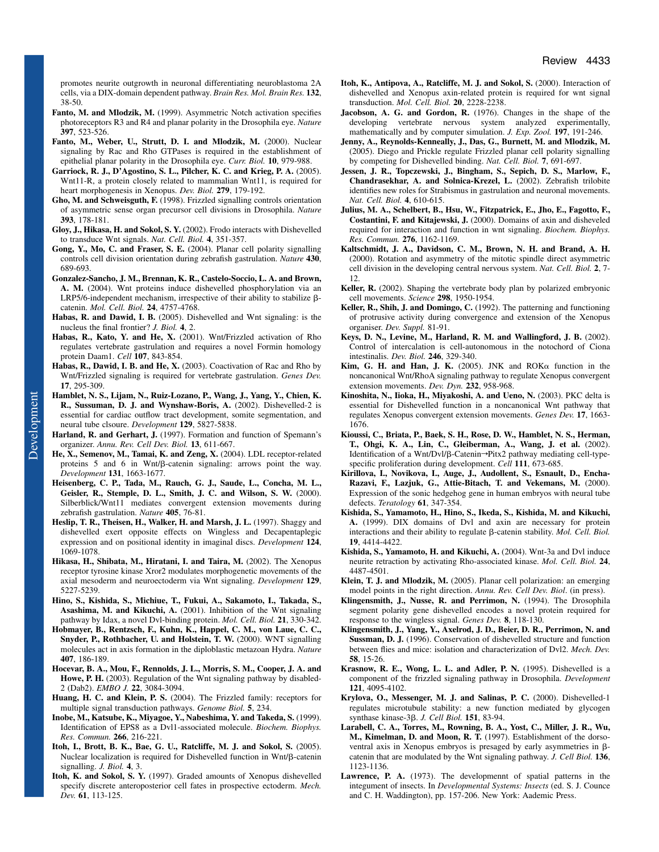promotes neurite outgrowth in neuronal differentiating neuroblastoma 2A cells, via a DIX-domain dependent pathway. *Brain Res. Mol. Brain Res.* **132**, 38-50.

- Fanto, M. and Mlodzik, M. (1999). Asymmetric Notch activation specifies photoreceptors R3 and R4 and planar polarity in the Drosophila eye. *Nature* **397**, 523-526.
- **Fanto, M., Weber, U., Strutt, D. I. and Mlodzik, M.** (2000). Nuclear signaling by Rac and Rho GTPases is required in the establishment of epithelial planar polarity in the Drosophila eye. *Curr. Biol.* **10**, 979-988.
- **Garriock, R. J., D'Agostino, S. L., Pilcher, K. C. and Krieg, P. A.** (2005). Wnt11-R, a protein closely related to mammalian Wnt11, is required for heart morphogenesis in Xenopus. *Dev. Biol.* **279**, 179-192.
- **Gho, M. and Schweisguth, F.** (1998). Frizzled signalling controls orientation of asymmetric sense organ precursor cell divisions in Drosophila. *Nature* **393**, 178-181.
- **Gloy, J., Hikasa, H. and Sokol, S. Y.** (2002). Frodo interacts with Dishevelled to transduce Wnt signals. *Nat. Cell. Biol.* **4**, 351-357.
- **Gong, Y., Mo, C. and Fraser, S. E.** (2004). Planar cell polarity signalling controls cell division orientation during zebrafish gastrulation. *Nature* **430**, 689-693.
- **Gonzalez-Sancho, J. M., Brennan, K. R., Castelo-Soccio, L. A. and Brown, A. M.** (2004). Wnt proteins induce dishevelled phosphorylation via an LRP5/6-independent mechanism, irrespective of their ability to stabilize  $\beta$ catenin. *Mol. Cell. Biol.* **24**, 4757-4768.
- **Habas, R. and Dawid, I. B.** (2005). Dishevelled and Wnt signaling: is the nucleus the final frontier? *J. Biol.* **4**, 2.
- **Habas, R., Kato, Y. and He, X.** (2001). Wnt/Frizzled activation of Rho regulates vertebrate gastrulation and requires a novel Formin homology protein Daam1. *Cell* **107**, 843-854.
- **Habas, R., Dawid, I. B. and He, X.** (2003). Coactivation of Rac and Rho by Wnt/Frizzled signaling is required for vertebrate gastrulation. *Genes Dev.* **17**, 295-309.
- **Hamblet, N. S., Lijam, N., Ruiz-Lozano, P., Wang, J., Yang, Y., Chien, K. R., Sussuman, D. J. and Wynshaw-Boris, A.** (2002). Dishevelled-2 is essential for cardiac outflow tract development, somite segmentation, and neural tube clsoure. *Development* **129**, 5827-5838.
- Harland, R. and Gerhart, J. (1997). Formation and function of Spemann's organizer. *Annu. Rev. Cell Dev. Biol.* **13**, 611-667.
- **He, X., Semenov, M., Tamai, K. and Zeng, X.** (2004). LDL receptor-related proteins  $5$  and  $6$  in Wnt/ $\beta$ -catenin signaling: arrows point the way. *Development* **131**, 1663-1677.
- **Heisenberg, C. P., Tada, M., Rauch, G. J., Saude, L., Concha, M. L., Geisler, R., Stemple, D. L., Smith, J. C. and Wilson, S. W.** (2000). Silberblick/Wnt11 mediates convergent extension movements during zebrafish gastrulation. *Nature* **405**, 76-81.
- **Heslip, T. R., Theisen, H., Walker, H. and Marsh, J. L.** (1997). Shaggy and dishevelled exert opposite effects on Wingless and Decapentaplegic expression and on positional identity in imaginal discs. *Development* **124**, 1069-1078.
- **Hikasa, H., Shibata, M., Hiratani, I. and Taira, M.** (2002). The Xenopus receptor tyrosine kinase Xror2 modulates morphogenetic movements of the axial mesoderm and neuroectoderm via Wnt signaling. *Development* **129**, 5227-5239.
- **Hino, S., Kishida, S., Michiue, T., Fukui, A., Sakamoto, I., Takada, S., Asashima, M. and Kikuchi, A.** (2001). Inhibition of the Wnt signaling pathway by Idax, a novel Dvl-binding protein. *Mol. Cell. Biol.* **21**, 330-342.
- **Hobmayer, B., Rentzsch, F., Kuhn, K., Happel, C. M., von Laue, C. C., Snyder, P., Rothbacher, U. and Holstein, T. W.** (2000). WNT signalling molecules act in axis formation in the diploblastic metazoan Hydra. *Nature* **407**, 186-189.
- **Hocevar, B. A., Mou, F., Rennolds, J. L., Morris, S. M., Cooper, J. A. and** Howe, P. H. (2003). Regulation of the Wnt signaling pathway by disabled-2 (Dab2). *EMBO J.* **22**, 3084-3094.
- **Huang, H. C. and Klein, P. S.** (2004). The Frizzled family: receptors for multiple signal transduction pathways. *Genome Biol.* **5**, 234.
- **Inobe, M., Katsube, K., Miyagoe, Y., Nabeshima, Y. and Takeda, S.** (1999). Identification of EPS8 as a Dvl1-associated molecule. *Biochem. Biophys. Res. Commun.* **266**, 216-221.
- **Itoh, I., Brott, B. K., Bae, G. U., Ratcliffe, M. J. and Sokol, S.** (2005). Nuclear localization is required for Dishevelled function in Wnt/ß-catenin signalling. *J. Biol.* **4**, 3.
- **Itoh, K. and Sokol, S. Y.** (1997). Graded amounts of Xenopus dishevelled specify discrete anteroposterior cell fates in prospective ectoderm. *Mech. Dev.* **61**, 113-125.
- **Itoh, K., Antipova, A., Ratcliffe, M. J. and Sokol, S.** (2000). Interaction of dishevelled and Xenopus axin-related protein is required for wnt signal transduction. *Mol. Cell. Biol.* **20**, 2228-2238.
- **Jacobson, A. G. and Gordon, R.** (1976). Changes in the shape of the developing vertebrate nervous system analyzed experimentally, mathematically and by computer simulation. *J. Exp. Zool.* **197**, 191-246.
- **Jenny, A., Reynolds-Kenneally, J., Das, G., Burnett, M. and Mlodzik, M.** (2005). Diego and Prickle regulate Frizzled planar cell polarity signalling by competing for Dishevelled binding. *Nat. Cell. Biol.* **7**, 691-697.
- **Jessen, J. R., Topczewski, J., Bingham, S., Sepich, D. S., Marlow, F., Chandrasekhar, A. and Solnica-Krezel, L.** (2002). Zebrafish trilobite identifies new roles for Strabismus in gastrulation and neuronal movements. *Nat. Cell. Biol.* **4**, 610-615.
- **Julius, M. A., Schelbert, B., Hsu, W., Fitzpatrick, E., Jho, E., Fagotto, F., Costantini, F. and Kitajewski, J.** (2000). Domains of axin and disheveled required for interaction and function in wnt signaling. *Biochem. Biophys. Res. Commun.* **276**, 1162-1169.
- **Kaltschmidt, J. A., Davidson, C. M., Brown, N. H. and Brand, A. H.** (2000). Rotation and asymmetry of the mitotic spindle direct asymmetric cell division in the developing central nervous system. *Nat. Cell. Biol.* **2**, 7- 12.
- **Keller, R.** (2002). Shaping the vertebrate body plan by polarized embryonic cell movements. *Science* **298**, 1950-1954.
- **Keller, R., Shih, J. and Domingo, C.** (1992). The patterning and functioning of protrusive activity during convergence and extension of the Xenopus organiser. *Dev. Suppl.* 81-91.
- **Keys, D. N., Levine, M., Harland, R. M. and Wallingford, J. B.** (2002). Control of intercalation is cell-autonomous in the notochord of Ciona intestinalis. *Dev. Biol.* **246**, 329-340.
- **Kim, G. H. and Han, J. K.** (2005). JNK and ROK $\alpha$  function in the noncanonical Wnt/RhoA signaling pathway to regulate Xenopus convergent extension movements. *Dev. Dyn.* **232**, 958-968.
- **Kinoshita, N., Iioka, H., Miyakoshi, A. and Ueno, N.** (2003). PKC delta is essential for Dishevelled function in a noncanonical Wnt pathway that regulates Xenopus convergent extension movements. *Genes Dev.* **17**, 1663- 1676.
- **Kioussi, C., Briata, P., Baek, S. H., Rose, D. W., Hamblet, N. S., Herman, T., Ohgi, K. A., Lin, C., Gleiberman, A., Wang, J. et al.** (2002). Identification of a Wnt/Dvl/β-Catenin→Pitx2 pathway mediating cell-typespecific proliferation during development. *Cell* **111**, 673-685.
- **Kirillova, I., Novikova, I., Auge, J., Audollent, S., Esnault, D., Encha-Razavi, F., Lazjuk, G., Attie-Bitach, T. and Vekemans, M.** (2000). Expression of the sonic hedgehog gene in human embryos with neural tube defects. *Teratology* **61**, 347-354.
- **Kishida, S., Yamamoto, H., Hino, S., Ikeda, S., Kishida, M. and Kikuchi, A.** (1999). DIX domains of Dvl and axin are necessary for protein interactions and their ability to regulate  $\beta$ -catenin stability. *Mol. Cell. Biol.* **19**, 4414-4422.
- **Kishida, S., Yamamoto, H. and Kikuchi, A.** (2004). Wnt-3a and Dvl induce neurite retraction by activating Rho-associated kinase. *Mol. Cell. Biol.* **24**, 4487-4501.
- **Klein, T. J. and Mlodzik, M.** (2005). Planar cell polarization: an emerging model points in the right direction. *Annu. Rev. Cell Dev. Biol*. (in press).
- **Klingensmith, J., Nusse, R. and Perrimon, N.** (1994). The Drosophila segment polarity gene dishevelled encodes a novel protein required for response to the wingless signal. *Genes Dev.* **8**, 118-130.
- **Klingensmith, J., Yang, Y., Axelrod, J. D., Beier, D. R., Perrimon, N. and Sussman, D. J.** (1996). Conservation of dishevelled structure and function between flies and mice: isolation and characterization of Dvl2. *Mech. Dev.* **58**, 15-26.
- **Krasnow, R. E., Wong, L. L. and Adler, P. N.** (1995). Dishevelled is a component of the frizzled signaling pathway in Drosophila. *Development* **121**, 4095-4102.
- **Krylova, O., Messenger, M. J. and Salinas, P. C.** (2000). Dishevelled-1 regulates microtubule stability: a new function mediated by glycogen synthase kinase-3 $\beta$ . *J. Cell Biol.* **151**, 83-94.
- **Larabell, C. A., Torres, M., Rowning, B. A., Yost, C., Miller, J. R., Wu, M., Kimelman, D. and Moon, R. T.** (1997). Establishment of the dorsoventral axis in Xenopus embryos is presaged by early asymmetries in  $\beta$ catenin that are modulated by the Wnt signaling pathway. *J. Cell Biol.* **136**, 1123-1136.
- **Lawrence, P. A.** (1973). The developmennt of spatial patterns in the integument of insects. In *Developmental Systems: Insects* (ed. S. J. Counce and C. H. Waddington), pp. 157-206. New York: Aademic Press.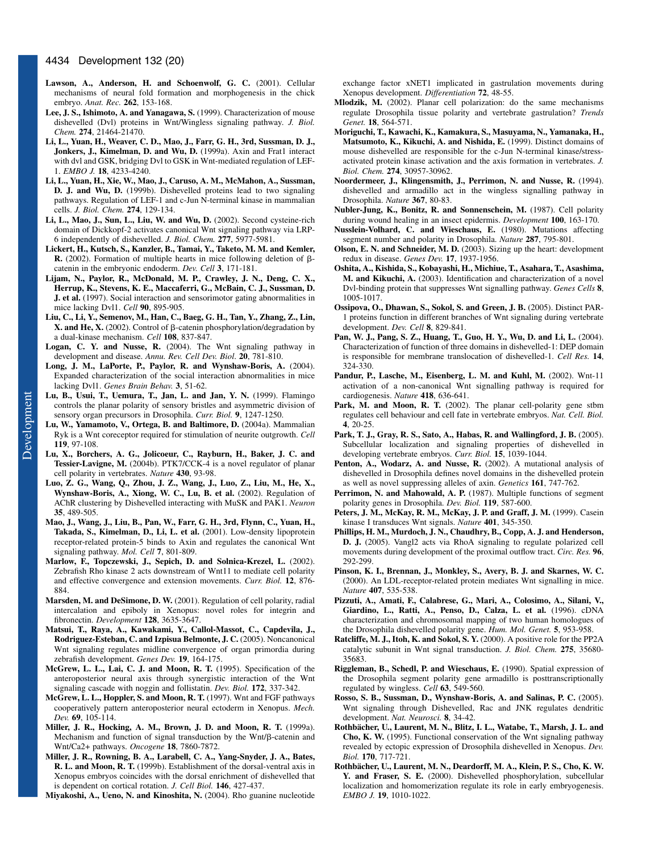- **Lawson, A., Anderson, H. and Schoenwolf, G. C.** (2001). Cellular mechanisms of neural fold formation and morphogenesis in the chick embryo. *Anat. Rec.* **262**, 153-168.
- **Lee, J. S., Ishimoto, A. and Yanagawa, S.** (1999). Characterization of mouse dishevelled (Dvl) proteins in Wnt/Wingless signaling pathway. *J. Biol. Chem.* **274**, 21464-21470.
- **Li, L., Yuan, H., Weaver, C. D., Mao, J., Farr, G. H., 3rd, Sussman, D. J., Jonkers, J., Kimelman, D. and Wu, D.** (1999a). Axin and Frat1 interact with dvl and GSK, bridging Dvl to GSK in Wnt-mediated regulation of LEF-1. *EMBO J.* **18**, 4233-4240.
- **Li, L., Yuan, H., Xie, W., Mao, J., Caruso, A. M., McMahon, A., Sussman, D. J. and Wu, D.** (1999b). Dishevelled proteins lead to two signaling pathways. Regulation of LEF-1 and c-Jun N-terminal kinase in mammalian cells. *J. Biol. Chem.* **274**, 129-134.
- **Li, L., Mao, J., Sun, L., Liu, W. and Wu, D.** (2002). Second cysteine-rich domain of Dickkopf-2 activates canonical Wnt signaling pathway via LRP-6 independently of dishevelled. *J. Biol. Chem.* **277**, 5977-5981.
- **Lickert, H., Kutsch, S., Kanzler, B., Tamai, Y., Taketo, M. M. and Kemler, R.** (2002). Formation of multiple hearts in mice following deletion of  $\beta$ catenin in the embryonic endoderm. *Dev. Cell* **3**, 171-181.
- **Lijam, N., Paylor, R., McDonald, M. P., Crawley, J. N., Deng, C. X., Herrup, K., Stevens, K. E., Maccaferri, G., McBain, C. J., Sussman, D. J. et al.** (1997). Social interaction and sensorimotor gating abnormalities in mice lacking Dvl1. *Cell* **90**, 895-905.
- **Liu, C., Li, Y., Semenov, M., Han, C., Baeg, G. H., Tan, Y., Zhang, Z., Lin,**  $X$ . and He,  $X$ . (2002). Control of  $\beta$ -catenin phosphorylation/degradation by a dual-kinase mechanism. *Cell* **108**, 837-847.
- **Logan, C. Y. and Nusse, R.** (2004). The Wnt signaling pathway in development and disease. *Annu. Rev. Cell Dev. Biol*. **20**, 781-810.
- **Long, J. M., LaPorte, P., Paylor, R. and Wynshaw-Boris, A.** (2004). Expanded characterization of the social interaction abnormalities in mice lacking Dvl1. *Genes Brain Behav.* **3**, 51-62.
- **Lu, B., Usui, T., Uemura, T., Jan, L. and Jan, Y. N.** (1999). Flamingo controls the planar polarity of sensory bristles and asymmetric division of sensory organ precursors in Drosophila. *Curr. Biol.* **9**, 1247-1250.
- **Lu, W., Yamamoto, V., Ortega, B. and Baltimore, D.** (2004a). Mammalian Ryk is a Wnt coreceptor required for stimulation of neurite outgrowth. *Cell* **119**, 97-108.
- **Lu, X., Borchers, A. G., Jolicoeur, C., Rayburn, H., Baker, J. C. and Tessier-Lavigne, M.** (2004b). PTK7/CCK-4 is a novel regulator of planar cell polarity in vertebrates. *Nature* **430**, 93-98.
- **Luo, Z. G., Wang, Q., Zhou, J. Z., Wang, J., Luo, Z., Liu, M., He, X., Wynshaw-Boris, A., Xiong, W. C., Lu, B. et al.** (2002). Regulation of AChR clustering by Dishevelled interacting with MuSK and PAK1. *Neuron* **35**, 489-505.
- **Mao, J., Wang, J., Liu, B., Pan, W., Farr, G. H., 3rd, Flynn, C., Yuan, H., Takada, S., Kimelman, D., Li, L. et al.** (2001). Low-density lipoprotein receptor-related protein-5 binds to Axin and regulates the canonical Wnt signaling pathway. *Mol. Cell* **7**, 801-809.
- **Marlow, F., Topczewski, J., Sepich, D. and Solnica-Krezel, L.** (2002). Zebrafish Rho kinase 2 acts downstream of Wnt11 to mediate cell polarity and effective convergence and extension movements. *Curr. Biol.* **12**, 876- 884.
- **Marsden, M. and DeSimone, D. W.** (2001). Regulation of cell polarity, radial intercalation and epiboly in Xenopus: novel roles for integrin and fibronectin. *Development* **128**, 3635-3647.
- **Matsui, T., Raya, A., Kawakami, Y., Callol-Massot, C., Capdevila, J., Rodriguez-Esteban, C. and Izpisua Belmonte, J. C.** (2005). Noncanonical Wnt signaling regulates midline convergence of organ primordia during zebrafish development. *Genes Dev.* **19**, 164-175.
- **McGrew, L. L., Lai, C. J. and Moon, R. T.** (1995). Specification of the anteroposterior neural axis through synergistic interaction of the Wnt signaling cascade with noggin and follistatin. *Dev. Biol.* **172**, 337-342.
- **McGrew, L. L., Hoppler, S. and Moon, R. T.** (1997). Wnt and FGF pathways cooperatively pattern anteroposterior neural ectoderm in Xenopus. *Mech. Dev.* **69**, 105-114.
- **Miller, J. R., Hocking, A. M., Brown, J. D. and Moon, R. T.** (1999a). Mechanism and function of signal transduction by the  $Wnt/\beta$ -catenin and Wnt/Ca2+ pathways. *Oncogene* **18**, 7860-7872.
- **Miller, J. R., Rowning, B. A., Larabell, C. A., Yang-Snyder, J. A., Bates, R. L. and Moon, R. T.** (1999b). Establishment of the dorsal-ventral axis in Xenopus embryos coincides with the dorsal enrichment of dishevelled that is dependent on cortical rotation. *J. Cell Biol.* **146**, 427-437.

**Miyakoshi, A., Ueno, N. and Kinoshita, N.** (2004). Rho guanine nucleotide

exchange factor xNET1 implicated in gastrulation movements during Xenopus development. *Differentiation* **72**, 48-55.

- **Mlodzik, M.** (2002). Planar cell polarization: do the same mechanisms regulate Drosophila tissue polarity and vertebrate gastrulation? *Trends Genet.* **18**, 564-571.
- **Moriguchi, T., Kawachi, K., Kamakura, S., Masuyama, N., Yamanaka, H., Matsumoto, K., Kikuchi, A. and Nishida, E.** (1999). Distinct domains of mouse dishevelled are responsible for the c-Jun N-terminal kinase/stressactivated protein kinase activation and the axis formation in vertebrates. *J. Biol. Chem.* **274**, 30957-30962.
- **Noordermeer, J., Klingensmith, J., Perrimon, N. and Nusse, R.** (1994). dishevelled and armadillo act in the wingless signalling pathway in Drosophila. *Nature* **367**, 80-83.
- **Nubler-Jung, K., Bonitz, R. and Sonnenschein, M.** (1987). Cell polarity during wound healing in an insect epidermis. *Development* **100**, 163-170.
- **Nusslein-Volhard, C. and Wieschaus, E.** (1980). Mutations affecting segment number and polarity in Drosophila. *Nature* **287**, 795-801.
- **Olson, E. N. and Schneider, M. D.** (2003). Sizing up the heart: development redux in disease. *Genes Dev.* **17**, 1937-1956.
- **Oshita, A., Kishida, S., Kobayashi, H., Michiue, T., Asahara, T., Asashima, M. and Kikuchi, A.** (2003). Identification and characterization of a novel Dvl-binding protein that suppresses Wnt signalling pathway. *Genes Cells* **8**, 1005-1017.
- **Ossipova, O., Dhawan, S., Sokol, S. and Green, J. B.** (2005). Distinct PAR-1 proteins function in different branches of Wnt signaling during vertebrate development. *Dev. Cell* **8**, 829-841.
- **Pan, W. J., Pang, S. Z., Huang, T., Guo, H. Y., Wu, D. and Li, L.** (2004). Characterization of function of three domains in dishevelled-1: DEP domain is responsible for membrane translocation of dishevelled-1. *Cell Res.* **14**, 324-330.
- **Pandur, P., Lasche, M., Eisenberg, L. M. and Kuhl, M.** (2002). Wnt-11 activation of a non-canonical Wnt signalling pathway is required for cardiogenesis. *Nature* **418**, 636-641.
- Park, M. and Moon, R. T. (2002). The planar cell-polarity gene stbm regulates cell behaviour and cell fate in vertebrate embryos. *Nat. Cell. Biol.* **4**, 20-25.
- **Park, T. J., Gray, R. S., Sato, A., Habas, R. and Wallingford, J. B.** (2005). Subcellular localization and signaling properties of dishevelled in developing vertebrate embryos. *Curr. Biol.* **15**, 1039-1044.
- **Penton, A., Wodarz, A. and Nusse, R.** (2002). A mutational analysis of dishevelled in Drosophila defines novel domains in the dishevelled protein as well as novel suppressing alleles of axin. *Genetics* **161**, 747-762.
- **Perrimon, N. and Mahowald, A. P.** (1987). Multiple functions of segment polarity genes in Drosophila. *Dev. Biol.* **119**, 587-600.
- **Peters, J. M., McKay, R. M., McKay, J. P. and Graff, J. M.** (1999). Casein kinase I transduces Wnt signals. *Nature* **401**, 345-350.
- **Phillips, H. M., Murdoch, J. N., Chaudhry, B., Copp, A. J. and Henderson, D. J.** (2005). Vangl2 acts via RhoA signaling to regulate polarized cell movements during development of the proximal outflow tract. *Circ. Res.* **96**, 292-299.
- **Pinson, K. I., Brennan, J., Monkley, S., Avery, B. J. and Skarnes, W. C.** (2000). An LDL-receptor-related protein mediates Wnt signalling in mice. *Nature* **407**, 535-538.
- **Pizzuti, A., Amati, F., Calabrese, G., Mari, A., Colosimo, A., Silani, V., Giardino, L., Ratti, A., Penso, D., Calza, L. et al.** (1996). cDNA characterization and chromosomal mapping of two human homologues of the Drosophila dishevelled polarity gene. *Hum. Mol. Genet.* **5**, 953-958.
- **Ratcliffe, M. J., Itoh, K. and Sokol, S. Y.** (2000). A positive role for the PP2A catalytic subunit in Wnt signal transduction. *J. Biol. Chem.* **275**, 35680- 35683.
- **Riggleman, B., Schedl, P. and Wieschaus, E.** (1990). Spatial expression of the Drosophila segment polarity gene armadillo is posttranscriptionally regulated by wingless. *Cell* **63**, 549-560.
- **Rosso, S. B., Sussman, D., Wynshaw-Boris, A. and Salinas, P. C.** (2005). Wnt signaling through Dishevelled, Rac and JNK regulates dendritic development. *Nat. Neurosci.* **8**, 34-42.
- **Rothbächer, U., Laurent, M. N., Blitz, I. L., Watabe, T., Marsh, J. L. and Cho, K. W.** (1995). Functional conservation of the Wnt signaling pathway revealed by ectopic expression of Drosophila dishevelled in Xenopus. *Dev. Biol.* **170**, 717-721.
- **Rothbächer, U., Laurent, M. N., Deardorff, M. A., Klein, P. S., Cho, K. W. Y. and Fraser, S. E.** (2000). Dishevelled phosphorylation, subcellular localization and homomerization regulate its role in early embryogenesis. *EMBO J.* **19**, 1010-1022.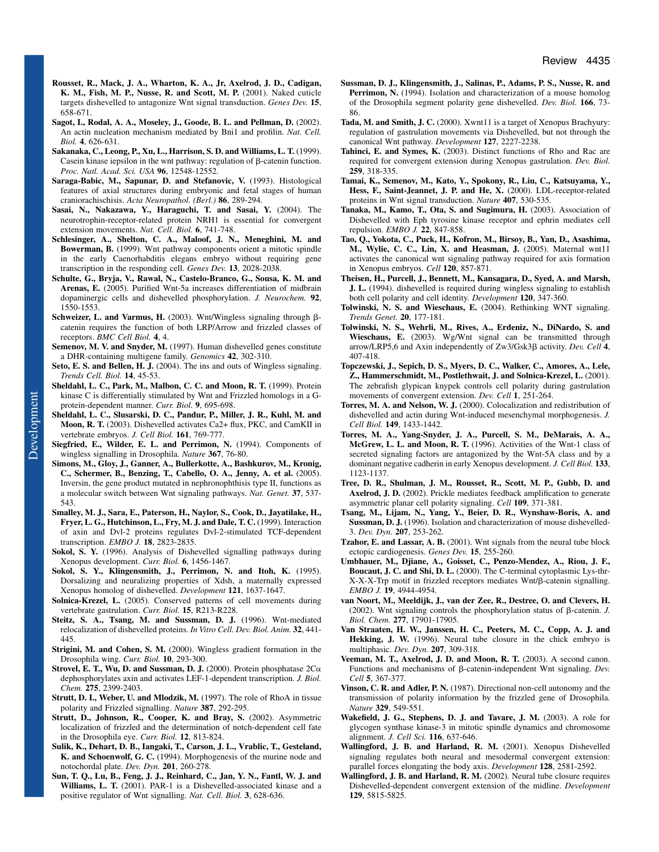- **Rousset, R., Mack, J. A., Wharton, K. A., Jr, Axelrod, J. D., Cadigan, K. M., Fish, M. P., Nusse, R. and Scott, M. P.** (2001). Naked cuticle targets dishevelled to antagonize Wnt signal transduction. *Genes Dev.* **15**, 658-671.
- **Sagot, I., Rodal, A. A., Moseley, J., Goode, B. L. and Pellman, D.** (2002). An actin nucleation mechanism mediated by Bni1 and profilin. *Nat. Cell. Biol.* **4**, 626-631.
- **Sakanaka, C., Leong, P., Xu, L., Harrison, S. D. and Williams, L. T.** (1999). Casein kinase iepsilon in the wnt pathway: regulation of  $\beta$ -catenin function. *Proc. Natl. Acad. Sci. USA* **96**, 12548-12552.
- **Saraga-Babic, M., Sapunar, D. and Stefanovic, V.** (1993). Histological features of axial structures during embryonic and fetal stages of human craniorachischisis. *Acta Neuropathol. (Berl.)* **86**, 289-294.
- **Sasai, N., Nakazawa, Y., Haraguchi, T. and Sasai, Y.** (2004). The neurotrophin-receptor-related protein NRH1 is essential for convergent extension movements. *Nat. Cell. Biol.* **6**, 741-748.
- **Schlesinger, A., Shelton, C. A., Maloof, J. N., Meneghini, M. and Bowerman, B.** (1999). Wnt pathway components orient a mitotic spindle in the early Caenorhabditis elegans embryo without requiring gene transcription in the responding cell. *Genes Dev.* **13**, 2028-2038.
- **Schulte, G., Bryja, V., Rawal, N., Castelo-Branco, G., Sousa, K. M. and Arenas, E.** (2005). Purified Wnt-5a increases differentiation of midbrain dopaminergic cells and dishevelled phosphorylation. *J. Neurochem.* **92**, 1550-1553.
- Schweizer, L. and Varmus, H. (2003). Wnt/Wingless signaling through  $\beta$ catenin requires the function of both LRP/Arrow and frizzled classes of receptors. *BMC Cell Biol.* **4**, 4.
- **Semenov, M. V. and Snyder, M.** (1997). Human dishevelled genes constitute a DHR-containing multigene family. *Genomics* **42**, 302-310.
- **Seto, E. S. and Bellen, H. J.** (2004). The ins and outs of Wingless signaling. *Trends Cell. Biol.* **14**, 45-53.
- **Sheldahl, L. C., Park, M., Malbon, C. C. and Moon, R. T.** (1999). Protein kinase C is differentially stimulated by Wnt and Frizzled homologs in a Gprotein-dependent manner. *Curr. Biol.* **9**, 695-698.
- **Sheldahl, L. C., Slusarski, D. C., Pandur, P., Miller, J. R., Kuhl, M. and Moon, R. T.** (2003). Dishevelled activates Ca2+ flux, PKC, and CamKII in vertebrate embryos. *J. Cell Biol.* **161**, 769-777.
- **Siegfried, E., Wilder, E. L. and Perrimon, N.** (1994). Components of wingless signalling in Drosophila. *Nature* **367**, 76-80.
- **Simons, M., Gloy, J., Ganner, A., Bullerkotte, A., Bashkurov, M., Kronig, C., Schermer, B., Benzing, T., Cabello, O. A., Jenny, A. et al.** (2005). Inversin, the gene product mutated in nephronophthisis type II, functions as a molecular switch between Wnt signaling pathways. *Nat. Genet.* **37**, 537- 543.
- **Smalley, M. J., Sara, E., Paterson, H., Naylor, S., Cook, D., Jayatilake, H., Fryer, L. G., Hutchinson, L., Fry, M. J. and Dale, T. C.** (1999). Interaction of axin and Dvl-2 proteins regulates Dvl-2-stimulated TCF-dependent transcription. *EMBO J.* **18**, 2823-2835.
- **Sokol, S. Y.** (1996). Analysis of Dishevelled signalling pathways during Xenopus development. *Curr. Biol.* **6**, 1456-1467.
- **Sokol, S. Y., Klingensmith, J., Perrimon, N. and Itoh, K.** (1995). Dorsalizing and neuralizing properties of Xdsh, a maternally expressed Xenopus homolog of dishevelled. *Development* **121**, 1637-1647.
- Solnica-Krezel, L. (2005). Conserved patterns of cell movements during vertebrate gastrulation. *Curr. Biol.* **15**, R213-R228.
- **Steitz, S. A., Tsang, M. and Sussman, D. J.** (1996). Wnt-mediated relocalization of dishevelled proteins. *In Vitro Cell. Dev. Biol. Anim.* **32**, 441- 445.
- **Strigini, M. and Cohen, S. M.** (2000). Wingless gradient formation in the Drosophila wing. *Curr. Biol.* **10**, 293-300.
- Strovel, E. T., Wu, D. and Sussman, D. J. (2000). Protein phosphatase  $2C\alpha$ dephosphorylates axin and activates LEF-1-dependent transcription. *J. Biol. Chem.* **275**, 2399-2403.
- **Strutt, D. I., Weber, U. and Mlodzik, M.** (1997). The role of RhoA in tissue polarity and Frizzled signalling. *Nature* **387**, 292-295.
- **Strutt, D., Johnson, R., Cooper, K. and Bray, S.** (2002). Asymmetric localization of frizzled and the determination of notch-dependent cell fate in the Drosophila eye. *Curr. Biol.* **12**, 813-824.
- **Sulik, K., Dehart, D. B., Iangaki, T., Carson, J. L., Vrablic, T., Gesteland, K. and Schoenwolf, G. C.** (1994). Morphogenesis of the murine node and notochordal plate. *Dev. Dyn.* **201**, 260-278.
- **Sun, T. Q., Lu, B., Feng, J. J., Reinhard, C., Jan, Y. N., Fantl, W. J. and Williams, L. T.** (2001). PAR-1 is a Dishevelled-associated kinase and a positive regulator of Wnt signalling. *Nat. Cell. Biol.* **3**, 628-636.
- **Sussman, D. J., Klingensmith, J., Salinas, P., Adams, P. S., Nusse, R. and** Perrimon, N. (1994). Isolation and characterization of a mouse homolog of the Drosophila segment polarity gene dishevelled. *Dev. Biol.* **166**, 73- 86.
- **Tada, M. and Smith, J. C.** (2000). Xwnt11 is a target of Xenopus Brachyury: regulation of gastrulation movements via Dishevelled, but not through the canonical Wnt pathway. *Development* **127**, 2227-2238.
- **Tahinci, E. and Symes, K.** (2003). Distinct functions of Rho and Rac are required for convergent extension during Xenopus gastrulation. *Dev. Biol.* **259**, 318-335.
- **Tamai, K., Semenov, M., Kato, Y., Spokony, R., Liu, C., Katsuyama, Y., Hess, F., Saint-Jeannet, J. P. and He, X.** (2000). LDL-receptor-related proteins in Wnt signal transduction. *Nature* **407**, 530-535.
- **Tanaka, M., Kamo, T., Ota, S. and Sugimura, H.** (2003). Association of Dishevelled with Eph tyrosine kinase receptor and ephrin mediates cell repulsion. *EMBO J.* **22**, 847-858.
- **Tao, Q., Yokota, C., Puck, H., Kofron, M., Birsoy, B., Yan, D., Asashima, M., Wylie, C. C., Lin, X. and Heasman, J.** (2005). Maternal wnt11 activates the canonical wnt signaling pathway required for axis formation in Xenopus embryos. *Cell* **120**, 857-871.
- **Theisen, H., Purcell, J., Bennett, M., Kansagara, D., Syed, A. and Marsh, J. L.** (1994). dishevelled is required during wingless signaling to establish both cell polarity and cell identity. *Development* **120**, 347-360.
- **Tolwinski, N. S. and Wieschaus, E.** (2004). Rethinking WNT signaling. *Trends Genet.* **20**, 177-181.
- **Tolwinski, N. S., Wehrli, M., Rives, A., Erdeniz, N., DiNardo, S. and Wieschaus, E.** (2003). Wg/Wnt signal can be transmitted through arrow/LRP5,6 and Axin independently of Zw3/Gsk3 activity. *Dev. Cell* **4**, 407-418.
- **Topczewski, J., Sepich, D. S., Myers, D. C., Walker, C., Amores, A., Lele, Z., Hammerschmidt, M., Postlethwait, J. and Solnica-Krezel, L.** (2001). The zebrafish glypican knypek controls cell polarity during gastrulation movements of convergent extension. *Dev. Cell* **1**, 251-264.
- **Torres, M. A. and Nelson, W. J.** (2000). Colocalization and redistribution of dishevelled and actin during Wnt-induced mesenchymal morphogenesis. *J. Cell Biol.* **149**, 1433-1442.
- **Torres, M. A., Yang-Snyder, J. A., Purcell, S. M., DeMarais, A. A., McGrew, L. L. and Moon, R. T.** (1996). Activities of the Wnt-1 class of secreted signaling factors are antagonized by the Wnt-5A class and by a dominant negative cadherin in early Xenopus development. *J. Cell Biol.* **133**, 1123-1137.
- **Tree, D. R., Shulman, J. M., Rousset, R., Scott, M. P., Gubb, D. and Axelrod, J. D.** (2002). Prickle mediates feedback amplification to generate asymmetric planar cell polarity signaling. *Cell* **109**, 371-381.
- **Tsang, M., Lijam, N., Yang, Y., Beier, D. R., Wynshaw-Boris, A. and Sussman, D. J.** (1996). Isolation and characterization of mouse dishevelled-3. *Dev. Dyn.* **207**, 253-262.
- **Tzahor, E. and Lassar, A. B.** (2001). Wnt signals from the neural tube block ectopic cardiogenesis. *Genes Dev.* **15**, 255-260.
- **Umbhauer, M., Djiane, A., Goisset, C., Penzo-Mendez, A., Riou, J. F., Boucaut, J. C. and Shi, D. L.** (2000). The C-terminal cytoplasmic Lys-thr- $X-X-X$ -Trp motif in frizzled receptors mediates  $Wnt/\beta$ -catenin signalling. *EMBO J.* **19**, 4944-4954.
- **van Noort, M., Meeldijk, J., van der Zee, R., Destree, O. and Clevers, H.** (2002). Wnt signaling controls the phosphorylation status of  $\beta$ -catenin. *J. Biol. Chem.* **277**, 17901-17905.
- **Van Straaten, H. W., Janssen, H. C., Peeters, M. C., Copp, A. J. and Hekking, J. W.** (1996). Neural tube closure in the chick embryo is multiphasic. *Dev. Dyn.* **207**, 309-318.
- **Veeman, M. T., Axelrod, J. D. and Moon, R. T.** (2003). A second canon. Functions and mechanisms of  $\beta$ -catenin-independent Wnt signaling. *Dev. Cell* **5**, 367-377.
- **Vinson, C. R. and Adler, P. N.** (1987). Directional non-cell autonomy and the transmission of polarity information by the frizzled gene of Drosophila. *Nature* **329**, 549-551.
- **Wakefield, J. G., Stephens, D. J. and Tavare, J. M.** (2003). A role for glycogen synthase kinase-3 in mitotic spindle dynamics and chromosome alignment. *J. Cell Sci.* **116**, 637-646.
- **Wallingford, J. B. and Harland, R. M.** (2001). Xenopus Dishevelled signaling regulates both neural and mesodermal convergent extension: parallel forces elongating the body axis. *Development* **128**, 2581-2592.
- **Wallingford, J. B. and Harland, R. M.** (2002). Neural tube closure requires Dishevelled-dependent convergent extension of the midline. *Development* **129**, 5815-5825.